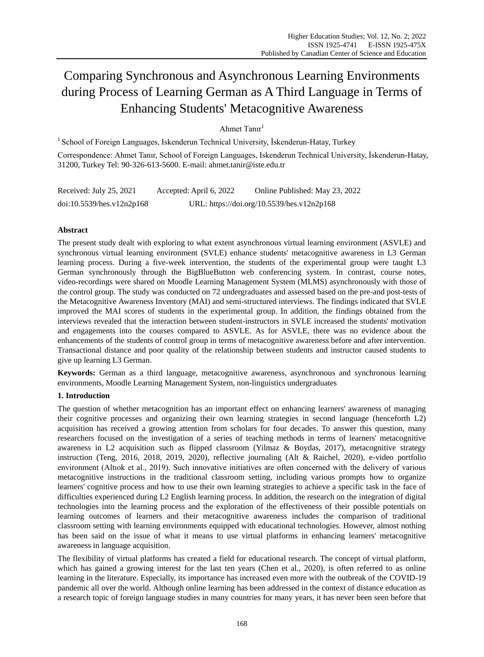# Comparing Synchronous and Asynchronous Learning Environments during Process of Learning German as A Third Language in Terms of Enhancing Students' Metacognitive Awareness

# Ahmet Tanır<sup>1</sup>

<sup>1</sup> School of Foreign Languages, Iskenderun Technical University, İskenderun-Hatay, Turkey

Correspondence: Ahmet Tanır, School of Foreign Languages, Iskenderun Technical University, İskenderun-Hatay, 31200, Turkey Tel: 90-326-613-5600. E-mail: ahmet.tanir@iste.edu.tr

Received: July 25, 2021 Accepted: April 6, 2022 Online Published: May 23, 2022 doi:10.5539/hes.v12n2p168 URL: https://doi.org/10.5539/hes.v12n2p168

# **Abstract**

The present study dealt with exploring to what extent asynchronous virtual learning environment (ASVLE) and synchronous virtual learning environment (SVLE) enhance students' metacognitive awareness in L3 German learning process. During a five-week intervention, the students of the experimental group were taught L3 German synchronously through the BigBlueButton web conferencing system. In contrast, course notes, video-recordings were shared on Moodle Learning Management System (MLMS) asynchronously with those of the control group. The study was conducted on 72 undergraduates and assessed based on the pre-and post-tests of the Metacognitive Awareness Inventory (MAI) and semi-structured interviews. The findings indicated that SVLE improved the MAI scores of students in the experimental group. In addition, the findings obtained from the interviews revealed that the interaction between student-instructors in SVLE increased the students' motivation and engagements into the courses compared to ASVLE. As for ASVLE, there was no evidence about the enhancements of the students of control group in terms of metacognitive awareness before and after intervention. Transactional distance and poor quality of the relationship between students and instructor caused students to give up learning L3 German.

**Keywords:** German as a third language, metacognitive awareness, asynchronous and synchronous learning environments, Moodle Learning Management System, non-linguistics undergraduates

## **1. Introduction**

The question of whether metacognition has an important effect on enhancing learners' awareness of managing their cognitive processes and organizing their own learning strategies in second language (henceforth L2) acquisition has received a growing attention from scholars for four decades. To answer this question, many researchers focused on the investigation of a series of teaching methods in terms of learners' metacognitive awareness in L2 acquisition such as flipped classroom (Yilmaz & Boydas, 2017), metacognitive strategy instruction (Teng, 2016, 2018, 2019, 2020), reflective journaling (Alt & Raichel, 2020), e-video portfolio environment (Altıok et al., 2019). Such innovative initiatives are often concerned with the delivery of various metacognitive instructions in the traditional classroom setting, including various prompts how to organize learners' cognitive process and how to use their own learning strategies to achieve a specific task in the face of difficulties experienced during L2 English learning process. In addition, the research on the integration of digital technologies into the learning process and the exploration of the effectiveness of their possible potentials on learning outcomes of learners and their metacognitive awareness includes the comparison of traditional classroom setting with learning environments equipped with educational technologies. However, almost nothing has been said on the issue of what it means to use virtual platforms in enhancing learners' metacognitive awareness in language acquisition.

The flexibility of virtual platforms has created a field for educational research. The concept of virtual platform, which has gained a growing interest for the last ten years (Chen et al., 2020), is often referred to as online learning in the literature. Especially, its importance has increased even more with the outbreak of the COVID-19 pandemic all over the world. Although online learning has been addressed in the context of distance education as a research topic of foreign language studies in many countries for many years, it has never been seen before that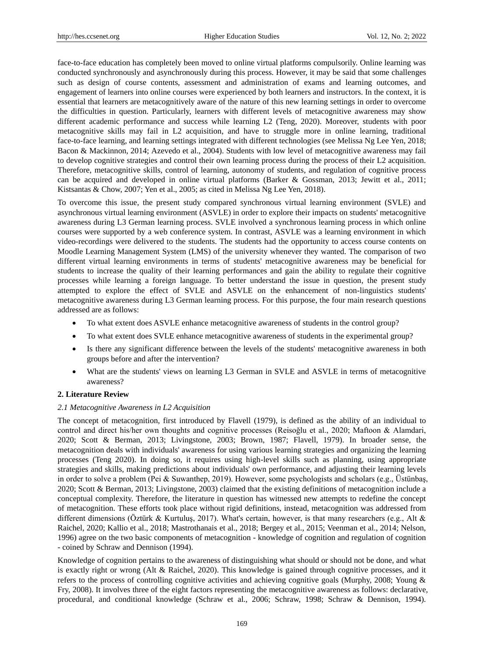face-to-face education has completely been moved to online virtual platforms compulsorily. Online learning was conducted synchronously and asynchronously during this process. However, it may be said that some challenges such as design of course contents, assessment and administration of exams and learning outcomes, and engagement of learners into online courses were experienced by both learners and instructors. In the context, it is essential that learners are metacognitively aware of the nature of this new learning settings in order to overcome the difficulties in question. Particularly, learners with different levels of metacognitive awareness may show different academic performance and success while learning L2 (Teng, 2020). Moreover, students with poor metacognitive skills may fail in L2 acquisition, and have to struggle more in online learning, traditional face-to-face learning, and learning settings integrated with different technologies (see Melissa Ng Lee Yen, 2018; Bacon & Mackinnon, 2014; Azevedo et al., 2004). Students with low level of metacognitive awareness may fail to develop cognitive strategies and control their own learning process during the process of their L2 acquisition. Therefore, metacognitive skills, control of learning, autonomy of students, and regulation of cognitive process can be acquired and developed in online virtual platforms (Barker & Gossman, 2013; Jewitt et al., 2011; Kistsantas & Chow, 2007; Yen et al., 2005; as cited in Melissa Ng Lee Yen, 2018).

To overcome this issue, the present study compared synchronous virtual learning environment (SVLE) and asynchronous virtual learning environment (ASVLE) in order to explore their impacts on students' metacognitive awareness during L3 German learning process. SVLE involved a synchronous learning process in which online courses were supported by a web conference system. In contrast, ASVLE was a learning environment in which video-recordings were delivered to the students. The students had the opportunity to access course contents on Moodle Learning Management System (LMS) of the university whenever they wanted. The comparison of two different virtual learning environments in terms of students' metacognitive awareness may be beneficial for students to increase the quality of their learning performances and gain the ability to regulate their cognitive processes while learning a foreign language. To better understand the issue in question, the present study attempted to explore the effect of SVLE and ASVLE on the enhancement of non-linguistics students' metacognitive awareness during L3 German learning process. For this purpose, the four main research questions addressed are as follows:

- To what extent does ASVLE enhance metacognitive awareness of students in the control group?
- To what extent does SVLE enhance metacognitive awareness of students in the experimental group?
- Is there any significant difference between the levels of the students' metacognitive awareness in both groups before and after the intervention?
- What are the students' views on learning L3 German in SVLE and ASVLE in terms of metacognitive awareness?

# **2. Literature Review**

## *2.1 Metacognitive Awareness in L2 Acquisition*

The concept of metacognition, first introduced by Flavell (1979), is defined as the ability of an individual to control and direct his/her own thoughts and cognitive processes (Reisoğlu et al., 2020; Maftoon & Alamdari, 2020; Scott & Berman, 2013; Livingstone, 2003; Brown, 1987; Flavell, 1979). In broader sense, the metacognition deals with individuals' awareness for using various learning strategies and organizing the learning processes (Teng 2020). In doing so, it requires using high-level skills such as planning, using appropriate strategies and skills, making predictions about individuals' own performance, and adjusting their learning levels in order to solve a problem (Pei & Suwanthep, 2019). However, some psychologists and scholars (e.g., Üstünbaş, 2020; Scott & Berman, 2013; Livingstone, 2003) claimed that the existing definitions of metacognition include a conceptual complexity. Therefore, the literature in question has witnessed new attempts to redefine the concept of metacognition. These efforts took place without rigid definitions, instead, metacognition was addressed from different dimensions (Oztürk & Kurtuluş, 2017). What's certain, however, is that many researchers (e.g., Alt & Raichel, 2020; Kallio et al., 2018; Mastrothanais et al., 2018; Bergey et al., 2015; Veenman et al., 2014; Nelson, 1996) agree on the two basic components of metacognition - knowledge of cognition and regulation of cognition - coined by Schraw and Dennison (1994).

Knowledge of cognition pertains to the awareness of distinguishing what should or should not be done, and what is exactly right or wrong (Alt & Raichel, 2020). This knowledge is gained through cognitive processes, and it refers to the process of controlling cognitive activities and achieving cognitive goals (Murphy, 2008; Young & Fry, 2008). It involves three of the eight factors representing the metacognitive awareness as follows: declarative, procedural, and conditional knowledge (Schraw et al., 2006; Schraw, 1998; Schraw & Dennison, 1994).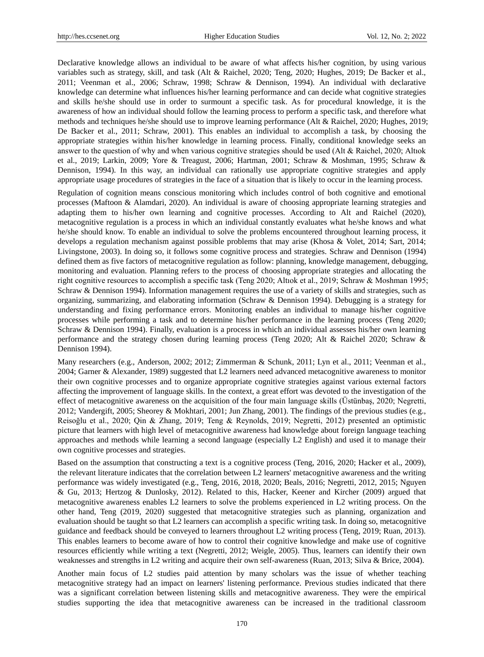Declarative knowledge allows an individual to be aware of what affects his/her cognition, by using various variables such as strategy, skill, and task (Alt & Raichel, 2020; Teng, 2020; Hughes, 2019; De Backer et al., 2011; Veenman et al., 2006; Schraw, 1998; Schraw & Dennison, 1994). An individual with declarative knowledge can determine what influences his/her learning performance and can decide what cognitive strategies and skills he/she should use in order to surmount a specific task. As for procedural knowledge, it is the awareness of how an individual should follow the learning process to perform a specific task, and therefore what methods and techniques he/she should use to improve learning performance (Alt & Raichel, 2020; Hughes, 2019; De Backer et al., 2011; Schraw, 2001). This enables an individual to accomplish a task, by choosing the appropriate strategies within his/her knowledge in learning process. Finally, conditional knowledge seeks an answer to the question of why and when various cognitive strategies should be used (Alt & Raichel, 2020; Altıok et al., 2019; Larkin, 2009; Yore & Treagust, 2006; Hartman, 2001; Schraw & Moshman, 1995; Schraw & Dennison, 1994). In this way, an individual can rationally use appropriate cognitive strategies and apply appropriate usage procedures of strategies in the face of a situation that is likely to occur in the learning process.

Regulation of cognition means conscious monitoring which includes control of both cognitive and emotional processes (Maftoon & Alamdari, 2020). An individual is aware of choosing appropriate learning strategies and adapting them to his/her own learning and cognitive processes. According to Alt and Raichel (2020), metacognitive regulation is a process in which an individual constantly evaluates what he/she knows and what he/she should know. To enable an individual to solve the problems encountered throughout learning process, it develops a regulation mechanism against possible problems that may arise (Khosa & Volet, 2014; Sart, 2014; Livingstone, 2003). In doing so, it follows some cognitive process and strategies. Schraw and Dennison (1994) defined them as five factors of metacognitive regulation as follow: planning, knowledge management, debugging, monitoring and evaluation. Planning refers to the process of choosing appropriate strategies and allocating the right cognitive resources to accomplish a specific task (Teng 2020; Altıok et al., 2019; Schraw & Moshman 1995; Schraw & Dennison 1994). Information management requires the use of a variety of skills and strategies, such as organizing, summarizing, and elaborating information (Schraw & Dennison 1994). Debugging is a strategy for understanding and fixing performance errors. Monitoring enables an individual to manage his/her cognitive processes while performing a task and to determine his/her performance in the learning process (Teng 2020; Schraw & Dennison 1994). Finally, evaluation is a process in which an individual assesses his/her own learning performance and the strategy chosen during learning process (Teng 2020; Alt & Raichel 2020; Schraw & Dennison 1994).

Many researchers (e.g., Anderson, 2002; 2012; Zimmerman & Schunk, 2011; Lyn et al., 2011; Veenman et al., 2004; Garner & Alexander, 1989) suggested that L2 learners need advanced metacognitive awareness to monitor their own cognitive processes and to organize appropriate cognitive strategies against various external factors affecting the improvement of language skills. In the context, a great effort was devoted to the investigation of the effect of metacognitive awareness on the acquisition of the four main language skills (Üstünbaş, 2020; Negretti, 2012; Vandergift, 2005; Sheorey & Mokhtari, 2001; Jun Zhang, 2001). The findings of the previous studies (e.g., Reisoğlu et al., 2020; Qin & Zhang, 2019; Teng & Reynolds, 2019; Negretti, 2012) presented an optimistic picture that learners with high level of metacognitive awareness had knowledge about foreign language teaching approaches and methods while learning a second language (especially L2 English) and used it to manage their own cognitive processes and strategies.

Based on the assumption that constructing a text is a cognitive process (Teng, 2016, 2020; Hacker et al., 2009), the relevant literature indicates that the correlation between L2 learners' metacognitive awareness and the writing performance was widely investigated (e.g., Teng, 2016, 2018, 2020; Beals, 2016; Negretti, 2012, 2015; Nguyen & Gu, 2013; Hertzog & Dunlosky, 2012). Related to this, Hacker, Keener and Kircher (2009) argued that metacognitive awareness enables L2 learners to solve the problems experienced in L2 writing process. On the other hand, Teng (2019, 2020) suggested that metacognitive strategies such as planning, organization and evaluation should be taught so that L2 learners can accomplish a specific writing task. In doing so, metacognitive guidance and feedback should be conveyed to learners throughout L2 writing process (Teng, 2019; Ruan, 2013). This enables learners to become aware of how to control their cognitive knowledge and make use of cognitive resources efficiently while writing a text (Negretti, 2012; Weigle, 2005). Thus, learners can identify their own weaknesses and strengths in L2 writing and acquire their own self-awareness (Ruan, 2013; Silva & Brice, 2004).

Another main focus of L2 studies paid attention by many scholars was the issue of whether teaching metacognitive strategy had an impact on learners' listening performance. Previous studies indicated that there was a significant correlation between listening skills and metacognitive awareness. They were the empirical studies supporting the idea that metacognitive awareness can be increased in the traditional classroom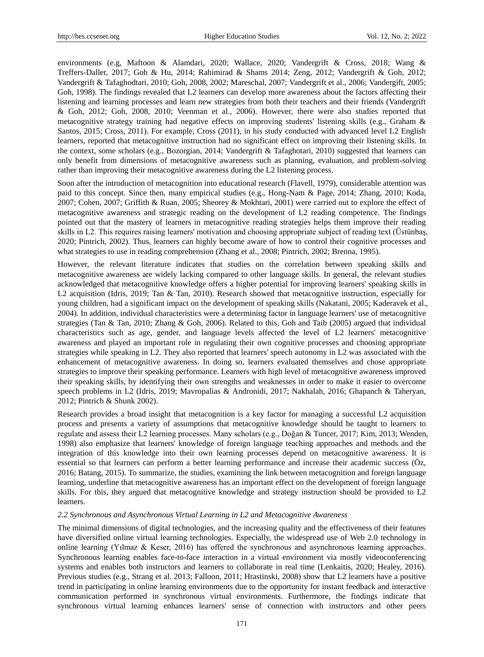environments (e.g, Maftoon & Alamdari, 2020; Wallace, 2020; Vandergrift & Cross, 2018; Wang & Treffers-Daller, 2017; Goh & Hu, 2014; Rahimirad & Shams 2014; Zeng, 2012; Vandergrift & Goh, 2012; Vandergrift & Tafaghodtari, 2010; Goh, 2008, 2002; Mareschal, 2007; Vandergrift et al., 2006; Vandergift, 2005; Goh, 1998). The findings revealed that L2 learners can develop more awareness about the factors affecting their listening and learning processes and learn new strategies from both their teachers and their friends (Vandergrift & Goh, 2012; Goh, 2008, 2010; Veenman et al., 2006). However, there were also studies reported that metacognitive strategy training had negative effects on improving students' listening skills (e.g., Graham & Santos, 2015; Cross, 2011). For example, Cross (2011), in his study conducted with advanced level L2 English learners, reported that metacognitive instruction had no significant effect on improving their listening skills. In the context, some scholars (e.g., Bozorgian, 2014; Vandergrift & Tafaghotari, 2010) suggested that learners can only benefit from dimensions of metacognitive awareness such as planning, evaluation, and problem-solving rather than improving their metacognitive awareness during the L2 listening process.

Soon after the introduction of metacognition into educational research (Flavell, 1979), considerable attention was paid to this concept. Since then, many empirical studies (e.g., Hong-Nam & Page, 2014; Zhang, 2010; Koda, 2007; Cohen, 2007; Griffith & Ruan, 2005; Sheorey & Mokhtari, 2001) were carried out to explore the effect of metacognitive awareness and strategic reading on the development of L2 reading competence. The findings pointed out that the mastery of learners in metacognitive reading strategies helps them improve their reading skills in L2. This requires raising learners' motivation and choosing appropriate subject of reading text (Üstünbaş, 2020; Pintrich, 2002). Thus, learners can highly become aware of how to control their cognitive processes and what strategies to use in reading comprehension (Zhang et al., 2008; Pintrich, 2002; Brenna, 1995).

However, the relevant literature indicates that studies on the correlation between speaking skills and metacognitive awareness are widely lacking compared to other language skills. In general, the relevant studies acknowledged that metacognitive knowledge offers a higher potential for improving learners' speaking skills in L2 acquisition (Idris, 2019; Tan & Tan, 2010). Research showed that metacognitive instruction, especially for young children, had a significant impact on the development of speaking skills (Nakatani, 2005; Kaderavek et al., 2004). In addition, individual characteristics were a determining factor in language learners' use of metacognitive strategies (Tan & Tan, 2010; Zhang & Goh, 2006). Related to this, Goh and Taib (2005) argued that individual characteristics such as age, gender, and language levels affected the level of L2 learners' metacognitive awareness and played an important role in regulating their own cognitive processes and choosing appropriate strategies while speaking in L2. They also reported that learners' speech autonomy in L2 was associated with the enhancement of metacognitive awareness. In doing so, learners evaluated themselves and chose appropriate strategies to improve their speaking performance. Learners with high level of metacognitive awareness improved their speaking skills, by identifying their own strengths and weaknesses in order to make it easier to overcome speech problems in L2 (Idris, 2019; Mavropalias & Andronidi, 2017; Nakhalah, 2016; Ghapanch & Taheryan, 2012; Pintrich & Shunk 2002).

Research provides a broad insight that metacognition is a key factor for managing a successful L2 acquisition process and presents a variety of assumptions that metacognitive knowledge should be taught to learners to regulate and assess their L2 learning processes. Many scholars (e.g., Doğan & Tuncer, 2017; Kim, 2013; Wenden, 1998) also emphasize that learners' knowledge of foreign language teaching approaches and methods and the integration of this knowledge into their own learning processes depend on metacognitive awareness. It is essential so that learners can perform a better learning performance and increase their academic success (Öz, 2016; Batang, 2015). To summarize, the studies, examining the link between metacognition and foreign language learning, underline that metacognitive awareness has an important effect on the development of foreign language skills. For this, they argued that metacognitive knowledge and strategy instruction should be provided to L2 learners.

#### *2.2 Synchronous and Asynchronous Virtual Learning in L2 and Metacognitive Awareness*

The minimal dimensions of digital technologies, and the increasing quality and the effectiveness of their features have diversified online virtual learning technologies. Especially, the widespread use of Web 2.0 technology in online learning (Yılmaz & Keser, 2016) has offered the synchronous and asynchronous learning approaches. Synchronous learning enables face-to-face interaction in a virtual environment via mostly videoconferencing systems and enables both instructors and learners to collaborate in real time (Lenkaitis, 2020; Healey, 2016). Previous studies (e.g., Strang et al. 2013; Falloon, 2011; Hrastinski, 2008) show that L2 learners have a positive trend in participating in online learning environments due to the opportunity for instant feedback and interactive communication performed in synchronous virtual environments. Furthermore, the findings indicate that synchronous virtual learning enhances learners' sense of connection with instructors and other peers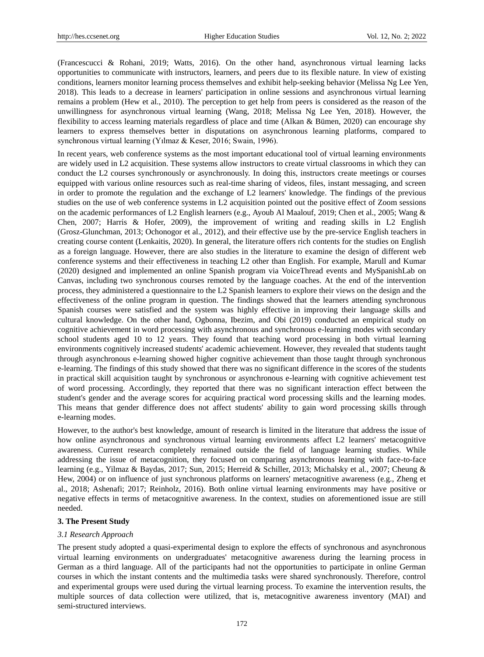(Francescucci & Rohani, 2019; Watts, 2016). On the other hand, asynchronous virtual learning lacks opportunities to communicate with instructors, learners, and peers due to its flexible nature. In view of existing conditions, learners monitor learning process themselves and exhibit help-seeking behavior (Melissa Ng Lee Yen, 2018). This leads to a decrease in learners' participation in online sessions and asynchronous virtual learning remains a problem (Hew et al., 2010). The perception to get help from peers is considered as the reason of the unwillingness for asynchronous virtual learning (Wang, 2018; Melissa Ng Lee Yen, 2018). However, the flexibility to access learning materials regardless of place and time (Alkan & Bümen, 2020) can encourage shy learners to express themselves better in disputations on asynchronous learning platforms, compared to synchronous virtual learning (Yılmaz & Keser, 2016; Swain, 1996).

In recent years, web conference systems as the most important educational tool of virtual learning environments are widely used in L2 acquisition. These systems allow instructors to create virtual classrooms in which they can conduct the L2 courses synchronously or asynchronously. In doing this, instructors create meetings or courses equipped with various online resources such as real-time sharing of videos, files, instant messaging, and screen in order to promote the regulation and the exchange of L2 learners' knowledge. The findings of the previous studies on the use of web conference systems in L2 acquisition pointed out the positive effect of Zoom sessions on the academic performances of L2 English learners (e.g., Ayoub Al Maalouf, 2019; Chen et al., 2005; Wang & Chen, 2007; Harris & Hofer, 2009), the improvement of writing and reading skills in L2 English (Grosz-Glunchman, 2013; Ochonogor et al., 2012), and their effective use by the pre-service English teachers in creating course content (Lenkaitis, 2020). In general, the literature offers rich contents for the studies on English as a foreign language. However, there are also studies in the literature to examine the design of different web conference systems and their effectiveness in teaching L2 other than English. For example, Marull and Kumar (2020) designed and implemented an online Spanish program via VoiceThread events and MySpanishLab on Canvas, including two synchronous courses remoted by the language coaches. At the end of the intervention process, they administered a questionnaire to the L2 Spanish learners to explore their views on the design and the effectiveness of the online program in question. The findings showed that the learners attending synchronous Spanish courses were satisfied and the system was highly effective in improving their language skills and cultural knowledge. On the other hand, Ogbonna, Ibezim, and Obi (2019) conducted an empirical study on cognitive achievement in word processing with asynchronous and synchronous e-learning modes with secondary school students aged 10 to 12 years. They found that teaching word processing in both virtual learning environments cognitively increased students' academic achievement. However, they revealed that students taught through asynchronous e-learning showed higher cognitive achievement than those taught through synchronous e-learning. The findings of this study showed that there was no significant difference in the scores of the students in practical skill acquisition taught by synchronous or asynchronous e-learning with cognitive achievement test of word processing. Accordingly, they reported that there was no significant interaction effect between the student's gender and the average scores for acquiring practical word processing skills and the learning modes. This means that gender difference does not affect students' ability to gain word processing skills through e-learning modes.

However, to the author's best knowledge, amount of research is limited in the literature that address the issue of how online asynchronous and synchronous virtual learning environments affect L2 learners' metacognitive awareness. Current research completely remained outside the field of language learning studies. While addressing the issue of metacognition, they focused on comparing asynchronous learning with face-to-face learning (e.g., Yilmaz & Baydas, 2017; Sun, 2015; Herreid & Schiller, 2013; Michalsky et al., 2007; Cheung & Hew, 2004) or on influence of just synchronous platforms on learners' metacognitive awareness (e.g., Zheng et al., 2018; Ashenafi; 2017; Reinholz, 2016). Both online virtual learning environments may have positive or negative effects in terms of metacognitive awareness. In the context, studies on aforementioned issue are still needed.

## **3. The Present Study**

## *3.1 Research Approach*

The present study adopted a quasi-experimental design to explore the effects of synchronous and asynchronous virtual learning environments on undergraduates' metacognitive awareness during the learning process in German as a third language. All of the participants had not the opportunities to participate in online German courses in which the instant contents and the multimedia tasks were shared synchronously. Therefore, control and experimental groups were used during the virtual learning process. To examine the intervention results, the multiple sources of data collection were utilized, that is, metacognitive awareness inventory (MAI) and semi-structured interviews.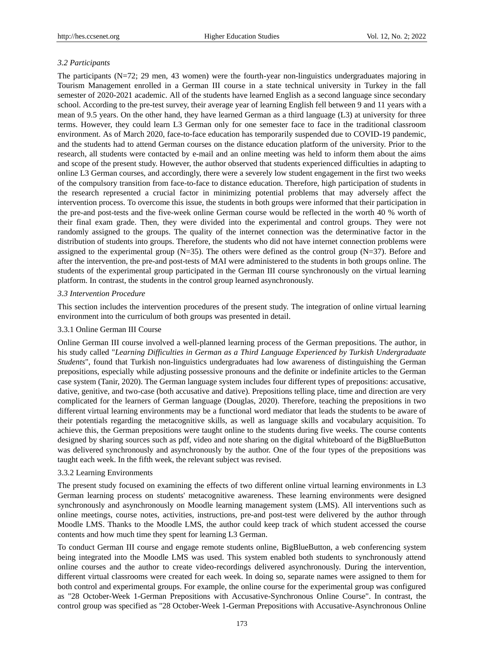## *3.2 Participants*

The participants (N=72; 29 men, 43 women) were the fourth-year non-linguistics undergraduates majoring in Tourism Management enrolled in a German III course in a state technical university in Turkey in the fall semester of 2020-2021 academic. All of the students have learned English as a second language since secondary school. According to the pre-test survey, their average year of learning English fell between 9 and 11 years with a mean of 9.5 years. On the other hand, they have learned German as a third language (L3) at university for three terms. However, they could learn L3 German only for one semester face to face in the traditional classroom environment. As of March 2020, face-to-face education has temporarily suspended due to COVID-19 pandemic, and the students had to attend German courses on the distance education platform of the university. Prior to the research, all students were contacted by e-mail and an online meeting was held to inform them about the aims and scope of the present study. However, the author observed that students experienced difficulties in adapting to online L3 German courses, and accordingly, there were a severely low student engagement in the first two weeks of the compulsory transition from face-to-face to distance education. Therefore, high participation of students in the research represented a crucial factor in minimizing potential problems that may adversely affect the intervention process. To overcome this issue, the students in both groups were informed that their participation in the pre-and post-tests and the five-week online German course would be reflected in the worth 40 % worth of their final exam grade. Then, they were divided into the experimental and control groups. They were not randomly assigned to the groups. The quality of the internet connection was the determinative factor in the distribution of students into groups. Therefore, the students who did not have internet connection problems were assigned to the experimental group ( $N=35$ ). The others were defined as the control group ( $N=37$ ). Before and after the intervention, the pre-and post-tests of MAI were administered to the students in both groups online. The students of the experimental group participated in the German III course synchronously on the virtual learning platform. In contrast, the students in the control group learned asynchronously.

#### *3.3 Intervention Procedure*

This section includes the intervention procedures of the present study. The integration of online virtual learning environment into the curriculum of both groups was presented in detail.

#### 3.3.1 Online German III Course

Online German III course involved a well-planned learning process of the German prepositions. The author, in his study called "*Learning Difficulties in German as a Third Language Experienced by Turkish Undergraduate Students*", found that Turkish non-linguistics undergraduates had low awareness of distinguishing the German prepositions, especially while adjusting possessive pronouns and the definite or indefinite articles to the German case system (Tanir, 2020). The German language system includes four different types of prepositions: accusative, dative, genitive, and two-case (both accusative and dative). Prepositions telling place, time and direction are very complicated for the learners of German language (Douglas, 2020). Therefore, teaching the prepositions in two different virtual learning environments may be a functional word mediator that leads the students to be aware of their potentials regarding the metacognitive skills, as well as language skills and vocabulary acquisition. To achieve this, the German prepositions were taught online to the students during five weeks. The course contents designed by sharing sources such as pdf, video and note sharing on the digital whiteboard of the BigBlueButton was delivered synchronously and asynchronously by the author. One of the four types of the prepositions was taught each week. In the fifth week, the relevant subject was revised.

## 3.3.2 Learning Environments

The present study focused on examining the effects of two different online virtual learning environments in L3 German learning process on students' metacognitive awareness. These learning environments were designed synchronously and asynchronously on Moodle learning management system (LMS). All interventions such as online meetings, course notes, activities, instructions, pre-and post-test were delivered by the author through Moodle LMS. Thanks to the Moodle LMS, the author could keep track of which student accessed the course contents and how much time they spent for learning L3 German.

To conduct German III course and engage remote students online, BigBlueButton, a web conferencing system being integrated into the Moodle LMS was used. This system enabled both students to synchronously attend online courses and the author to create video-recordings delivered asynchronously. During the intervention, different virtual classrooms were created for each week. In doing so, separate names were assigned to them for both control and experimental groups. For example, the online course for the experimental group was configured as "28 October-Week 1-German Prepositions with Accusative-Synchronous Online Course". In contrast, the control group was specified as "28 October-Week 1-German Prepositions with Accusative-Asynchronous Online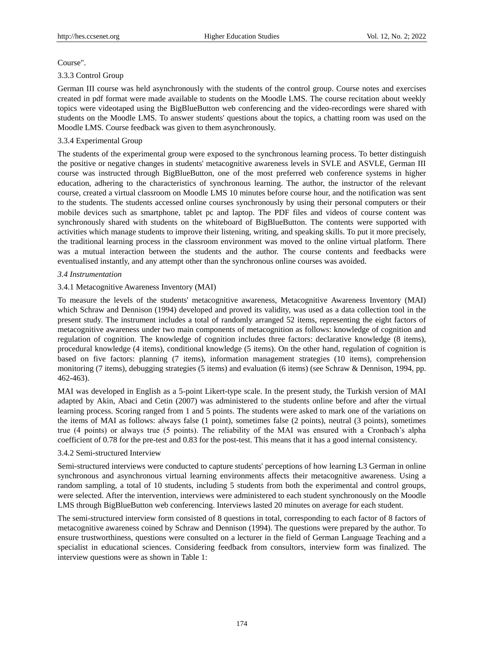#### Course".

## 3.3.3 Control Group

German III course was held asynchronously with the students of the control group. Course notes and exercises created in pdf format were made available to students on the Moodle LMS. The course recitation about weekly topics were videotaped using the BigBlueButton web conferencing and the video-recordings were shared with students on the Moodle LMS. To answer students' questions about the topics, a chatting room was used on the Moodle LMS. Course feedback was given to them asynchronously.

## 3.3.4 Experimental Group

The students of the experimental group were exposed to the synchronous learning process. To better distinguish the positive or negative changes in students' metacognitive awareness levels in SVLE and ASVLE, German III course was instructed through BigBlueButton, one of the most preferred web conference systems in higher education, adhering to the characteristics of synchronous learning. The author, the instructor of the relevant course, created a virtual classroom on Moodle LMS 10 minutes before course hour, and the notification was sent to the students. The students accessed online courses synchronously by using their personal computers or their mobile devices such as smartphone, tablet pc and laptop. The PDF files and videos of course content was synchronously shared with students on the whiteboard of BigBlueButton. The contents were supported with activities which manage students to improve their listening, writing, and speaking skills. To put it more precisely, the traditional learning process in the classroom environment was moved to the online virtual platform. There was a mutual interaction between the students and the author. The course contents and feedbacks were eventualised instantly, and any attempt other than the synchronous online courses was avoided.

#### *3.4 Instrumentation*

#### 3.4.1 Metacognitive Awareness Inventory (MAI)

To measure the levels of the students' metacognitive awareness, Metacognitive Awareness Inventory (MAI) which Schraw and Dennison (1994) developed and proved its validity, was used as a data collection tool in the present study. The instrument includes a total of randomly arranged 52 items, representing the eight factors of metacognitive awareness under two main components of metacognition as follows: knowledge of cognition and regulation of cognition. The knowledge of cognition includes three factors: declarative knowledge (8 items), procedural knowledge (4 items), conditional knowledge (5 items). On the other hand, regulation of cognition is based on five factors: planning (7 items), information management strategies (10 items), comprehension monitoring (7 items), debugging strategies (5 items) and evaluation (6 items) (see Schraw & Dennison, 1994, pp. 462-463).

MAI was developed in English as a 5-point Likert-type scale. In the present study, the Turkish version of MAI adapted by Akin, Abaci and Cetin (2007) was administered to the students online before and after the virtual learning process. Scoring ranged from 1 and 5 points. The students were asked to mark one of the variations on the items of MAI as follows: always false (1 point), sometimes false (2 points), neutral (3 points), sometimes true (4 points) or always true (5 points). The reliability of the MAI was ensured with a Cronbach's alpha coefficient of 0.78 for the pre-test and 0.83 for the post-test. This means that it has a good internal consistency.

## 3.4.2 Semi-structured Interview

Semi-structured interviews were conducted to capture students' perceptions of how learning L3 German in online synchronous and asynchronous virtual learning environments affects their metacognitive awareness. Using a random sampling, a total of 10 students, including 5 students from both the experimental and control groups, were selected. After the intervention, interviews were administered to each student synchronously on the Moodle LMS through BigBlueButton web conferencing. Interviews lasted 20 minutes on average for each student.

The semi-structured interview form consisted of 8 questions in total, corresponding to each factor of 8 factors of metacognitive awareness coined by Schraw and Dennison (1994). The questions were prepared by the author. To ensure trustworthiness, questions were consulted on a lecturer in the field of German Language Teaching and a specialist in educational sciences. Considering feedback from consultors, interview form was finalized. The interview questions were as shown in Table 1: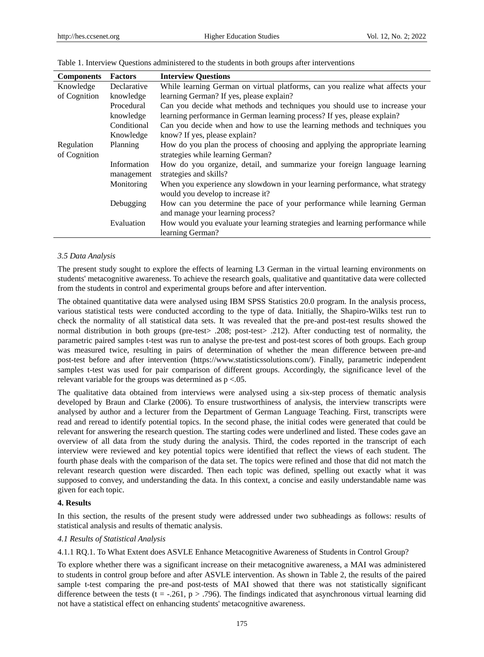| <b>Components</b> | <b>Factors</b> | <b>Interview Questions</b>                                                     |
|-------------------|----------------|--------------------------------------------------------------------------------|
| Knowledge         | Declarative    | While learning German on virtual platforms, can you realize what affects your  |
| of Cognition      | knowledge      | learning German? If yes, please explain?                                       |
|                   | Procedural     | Can you decide what methods and techniques you should use to increase your     |
|                   | knowledge      | learning performance in German learning process? If yes, please explain?       |
|                   | Conditional    | Can you decide when and how to use the learning methods and techniques you     |
|                   | Knowledge      | know? If yes, please explain?                                                  |
| Regulation        | Planning       | How do you plan the process of choosing and applying the appropriate learning  |
| of Cognition      |                | strategies while learning German?                                              |
|                   | Information    | How do you organize, detail, and summarize your foreign language learning      |
|                   | management     | strategies and skills?                                                         |
|                   | Monitoring     | When you experience any slowdown in your learning performance, what strategy   |
|                   |                | would you develop to increase it?                                              |
|                   | Debugging      | How can you determine the pace of your performance while learning German       |
|                   |                | and manage your learning process?                                              |
|                   | Evaluation     | How would you evaluate your learning strategies and learning performance while |
|                   |                | learning German?                                                               |

#### Table 1. Interview Questions administered to the students in both groups after interventions

#### *3.5 Data Analysis*

The present study sought to explore the effects of learning L3 German in the virtual learning environments on students' metacognitive awareness. To achieve the research goals, qualitative and quantitative data were collected from the students in control and experimental groups before and after intervention.

The obtained quantitative data were analysed using IBM SPSS Statistics 20.0 program. In the analysis process, various statistical tests were conducted according to the type of data. Initially, the Shapiro-Wilks test run to check the normality of all statistical data sets. It was revealed that the pre-and post-test results showed the normal distribution in both groups (pre-test> .208; post-test> .212). After conducting test of normality, the parametric paired samples t-test was run to analyse the pre-test and post-test scores of both groups. Each group was measured twice, resulting in pairs of determination of whether the mean difference between pre-and post-test before and after intervention (https://www.statisticssolutions.com/). Finally, parametric independent samples t-test was used for pair comparison of different groups. Accordingly, the significance level of the relevant variable for the groups was determined as p <.05.

The qualitative data obtained from interviews were analysed using a six-step process of thematic analysis developed by Braun and Clarke (2006). To ensure trustworthiness of analysis, the interview transcripts were analysed by author and a lecturer from the Department of German Language Teaching. First, transcripts were read and reread to identify potential topics. In the second phase, the initial codes were generated that could be relevant for answering the research question. The starting codes were underlined and listed. These codes gave an overview of all data from the study during the analysis. Third, the codes reported in the transcript of each interview were reviewed and key potential topics were identified that reflect the views of each student. The fourth phase deals with the comparison of the data set. The topics were refined and those that did not match the relevant research question were discarded. Then each topic was defined, spelling out exactly what it was supposed to convey, and understanding the data. In this context, a concise and easily understandable name was given for each topic.

#### **4. Results**

In this section, the results of the present study were addressed under two subheadings as follows: results of statistical analysis and results of thematic analysis.

#### *4.1 Results of Statistical Analysis*

4.1.1 RQ.1. To What Extent does ASVLE Enhance Metacognitive Awareness of Students in Control Group?

To explore whether there was a significant increase on their metacognitive awareness, a MAI was administered to students in control group before and after ASVLE intervention. As shown in Table 2, the results of the paired sample t-test comparing the pre-and post-tests of MAI showed that there was not statistically significant difference between the tests (t = -.261, p > .796). The findings indicated that asynchronous virtual learning did not have a statistical effect on enhancing students' metacognitive awareness.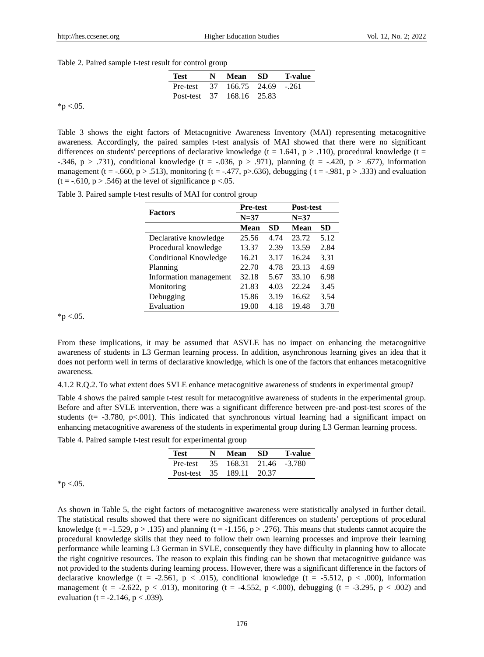Table 2. Paired sample t-test result for control group

|          | Test                                                | N Mean SD | T-value |
|----------|-----------------------------------------------------|-----------|---------|
|          | Pre-test $37 \quad 166.75 \quad 24.69 \quad -0.261$ |           |         |
|          | Post-test 37 168.16 25.83                           |           |         |
| *p <.05. |                                                     |           |         |

Table 3 shows the eight factors of Metacognitive Awareness Inventory (MAI) representing metacognitive awareness. Accordingly, the paired samples t-test analysis of MAI showed that there were no significant differences on students' perceptions of declarative knowledge (t = 1.641,  $p > .110$ ), procedural knowledge (t = -.346, p > .731), conditional knowledge (t = -.036, p > .971), planning (t = -.420, p > .677), information management (t = -.660, p > .513), monitoring (t = -.477, p > .636), debugging (t = -.981, p > .333) and evaluation  $(t = -.610, p > .546)$  at the level of significance  $p < .05$ .

|  |  | Table 3. Paired sample t-test results of MAI for control group |
|--|--|----------------------------------------------------------------|
|--|--|----------------------------------------------------------------|

| <b>Factors</b>         | <b>Pre-test</b> |      | Post-test   |      |  |
|------------------------|-----------------|------|-------------|------|--|
|                        | $N=37$          |      | $N=37$      |      |  |
|                        | Mean            | SD   | <b>Mean</b> | SD   |  |
| Declarative knowledge  | 25.56           | 4.74 | 23.72       | 5.12 |  |
| Procedural knowledge   | 13.37           | 2.39 | 13.59       | 2.84 |  |
| Conditional Knowledge  | 16.21           | 3.17 | 16.24       | 3.31 |  |
| Planning               | 22.70           | 4.78 | 23.13       | 4.69 |  |
| Information management | 32.18           | 5.67 | 33.10       | 6.98 |  |
| Monitoring             | 21.83           | 4.03 | 22.24       | 3.45 |  |
| Debugging              | 15.86           | 3.19 | 16.62       | 3.54 |  |
| Evaluation             | 19.00           | 4.18 | 19.48       | 3.78 |  |

 $*$ p <.05.

From these implications, it may be assumed that ASVLE has no impact on enhancing the metacognitive awareness of students in L3 German learning process. In addition, asynchronous learning gives an idea that it does not perform well in terms of declarative knowledge, which is one of the factors that enhances metacognitive awareness.

4.1.2 R.Q.2. To what extent does SVLE enhance metacognitive awareness of students in experimental group?

Table 4 shows the paired sample t-test result for metacognitive awareness of students in the experimental group. Before and after SVLE intervention, there was a significant difference between pre-and post-test scores of the students ( $t = -3.780$ ,  $p < .001$ ). This indicated that synchronous virtual learning had a significant impact on enhancing metacognitive awareness of the students in experimental group during L3 German learning process.

Table 4. Paired sample t-test result for experimental group

| Test         | N. | Mean                | -SD | <b>T-value</b> |
|--------------|----|---------------------|-----|----------------|
| Pre-test     | 35 | 168.31 21.46 -3.780 |     |                |
| Post-test 35 |    | 189.11 20.37        |     |                |

 $*$ p <.05.

As shown in Table 5, the eight factors of metacognitive awareness were statistically analysed in further detail. The statistical results showed that there were no significant differences on students' perceptions of procedural knowledge (t = -1.529, p > .135) and planning (t = -1.156, p > .276). This means that students cannot acquire the procedural knowledge skills that they need to follow their own learning processes and improve their learning performance while learning L3 German in SVLE, consequently they have difficulty in planning how to allocate the right cognitive resources. The reason to explain this finding can be shown that metacognitive guidance was not provided to the students during learning process. However, there was a significant difference in the factors of declarative knowledge (t = -2.561, p < .015), conditional knowledge (t = -5.512, p < .000), information management (t = -2.622, p < .013), monitoring (t = -4.552, p < .000), debugging (t = -3.295, p < .002) and evaluation (t = -2.146,  $p < .039$ ).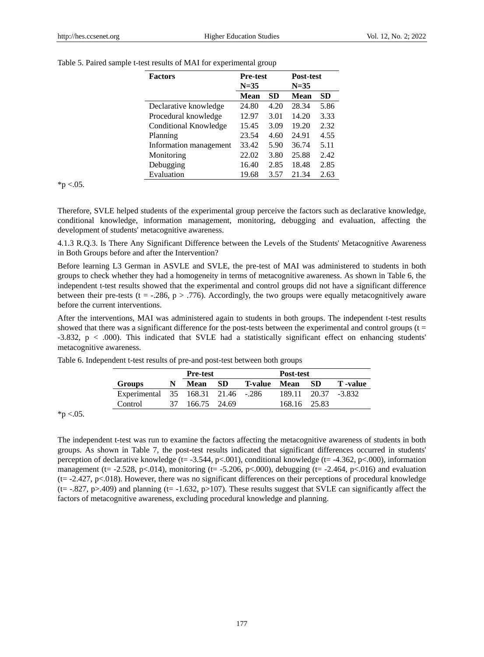| <b>Factors</b>         | <b>Pre-test</b> |      | Post-test |           |  |
|------------------------|-----------------|------|-----------|-----------|--|
|                        | $N = 35$        |      | $N = 35$  |           |  |
|                        | <b>Mean</b>     | SD   | Mean      | <b>SD</b> |  |
| Declarative knowledge  | 24.80           | 4.20 | 28.34     | 5.86      |  |
| Procedural knowledge   | 12.97           | 3.01 | 14.20     | 3.33      |  |
| Conditional Knowledge  | 15.45           | 3.09 | 19.20     | 2.32      |  |
| Planning               | 23.54           | 4.60 | 24.91     | 4.55      |  |
| Information management | 33.42           | 5.90 | 36.74     | 5.11      |  |
| Monitoring             | 22.02           | 3.80 | 25.88     | 2.42      |  |
| Debugging              | 16.40           | 2.85 | 18.48     | 2.85      |  |
| Evaluation             | 19.68           | 3.57 | 21.34     | 2.63      |  |

Table 5. Paired sample t-test results of MAI for experimental group

 $*$ p <.05.

Therefore, SVLE helped students of the experimental group perceive the factors such as declarative knowledge, conditional knowledge, information management, monitoring, debugging and evaluation, affecting the development of students' metacognitive awareness.

4.1.3 R.Q.3. Is There Any Significant Difference between the Levels of the Students' Metacognitive Awareness in Both Groups before and after the Intervention?

Before learning L3 German in ASVLE and SVLE, the pre-test of MAI was administered to students in both groups to check whether they had a homogeneity in terms of metacognitive awareness. As shown in Table 6, the independent t-test results showed that the experimental and control groups did not have a significant difference between their pre-tests (t = -.286,  $p > .776$ ). Accordingly, the two groups were equally metacognitively aware before the current interventions.

After the interventions, MAI was administered again to students in both groups. The independent t-test results showed that there was a significant difference for the post-tests between the experimental and control groups  $(t =$ -3.832, p < .000). This indicated that SVLE had a statistically significant effect on enhancing students' metacognitive awareness.

|                                    |   | <b>Pre-test</b> |           |                | Post-test    |      |                     |
|------------------------------------|---|-----------------|-----------|----------------|--------------|------|---------------------|
| <b>Groups</b>                      | N | <b>Mean</b>     | <b>SD</b> | <b>T-value</b> | Mean         | - SD | <b>T</b> -value     |
| Experimental 35 168.31 21.46 -.286 |   |                 |           |                |              |      | 189.11 20.37 -3.832 |
| Control                            |   | 37 166.75 24.69 |           |                | 168.16 25.83 |      |                     |

Table 6. Independent t-test results of pre-and post-test between both groups

 $*p < .05$ .

The independent t-test was run to examine the factors affecting the metacognitive awareness of students in both groups. As shown in Table 7, the post-test results indicated that significant differences occurred in students' perception of declarative knowledge (t= -3.544, p<.001), conditional knowledge (t= -4.362, p<.000), information management (t= -2.528, p<.014), monitoring (t= -5.206, p<.000), debugging (t= -2.464, p<.016) and evaluation (t= -2.427, p<.018). However, there was no significant differences on their perceptions of procedural knowledge (t=  $-.827$ , p>.409) and planning (t=  $-1.632$ , p>107). These results suggest that SVLE can significantly affect the factors of metacognitive awareness, excluding procedural knowledge and planning.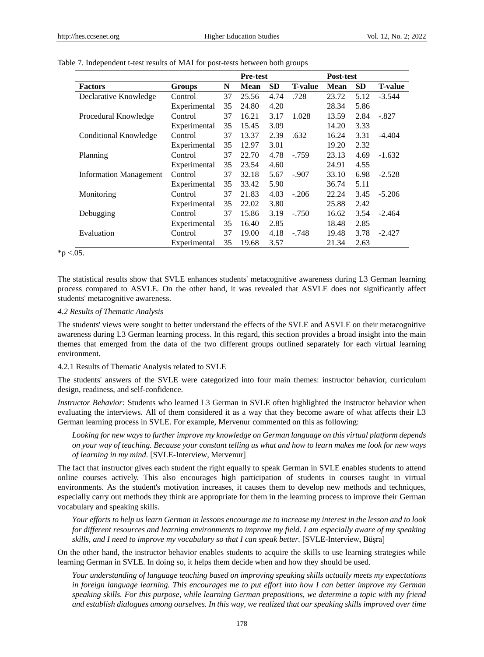|                               |              | <b>Pre-test</b> |             |           | Post-test      |             |           |                |
|-------------------------------|--------------|-----------------|-------------|-----------|----------------|-------------|-----------|----------------|
| <b>Factors</b>                | Groups       | N               | <b>Mean</b> | <b>SD</b> | <b>T-value</b> | <b>Mean</b> | <b>SD</b> | <b>T-value</b> |
| Declarative Knowledge         | Control      | 37              | 25.56       | 4.74      | .728           | 23.72       | 5.12      | $-3.544$       |
|                               | Experimental | 35              | 24.80       | 4.20      |                | 28.34       | 5.86      |                |
| Procedural Knowledge          | Control      | 37              | 16.21       | 3.17      | 1.028          | 13.59       | 2.84      | $-.827$        |
|                               | Experimental | 35              | 15.45       | 3.09      |                | 14.20       | 3.33      |                |
| Conditional Knowledge         | Control      | 37              | 13.37       | 2.39      | .632           | 16.24       | 3.31      | $-4.404$       |
|                               | Experimental | 35              | 12.97       | 3.01      |                | 19.20       | 2.32      |                |
| Planning                      | Control      | 37              | 22.70       | 4.78      | $-.759$        | 23.13       | 4.69      | $-1.632$       |
|                               | Experimental | 35              | 23.54       | 4.60      |                | 24.91       | 4.55      |                |
| <b>Information Management</b> | Control      | 37              | 32.18       | 5.67      | $-.907$        | 33.10       | 6.98      | $-2.528$       |
|                               | Experimental | 35              | 33.42       | 5.90      |                | 36.74       | 5.11      |                |
| Monitoring                    | Control      | 37              | 21.83       | 4.03      | $-.206$        | 22.24       | 3.45      | $-5.206$       |
|                               | Experimental | 35              | 22.02       | 3.80      |                | 25.88       | 2.42      |                |
| Debugging                     | Control      | 37              | 15.86       | 3.19      | $-.750$        | 16.62       | 3.54      | $-2.464$       |
|                               | Experimental | 35              | 16.40       | 2.85      |                | 18.48       | 2.85      |                |
| Evaluation                    | Control      | 37              | 19.00       | 4.18      | $-.748$        | 19.48       | 3.78      | $-2.427$       |
|                               | Experimental | 35              | 19.68       | 3.57      |                | 21.34       | 2.63      |                |

Table 7. Independent t-test results of MAI for post-tests between both groups

 $*$ p <.05.

The statistical results show that SVLE enhances students' metacognitive awareness during L3 German learning process compared to ASVLE. On the other hand, it was revealed that ASVLE does not significantly affect students' metacognitive awareness.

#### *4.2 Results of Thematic Analysis*

The students' views were sought to better understand the effects of the SVLE and ASVLE on their metacognitive awareness during L3 German learning process. In this regard, this section provides a broad insight into the main themes that emerged from the data of the two different groups outlined separately for each virtual learning environment.

4.2.1 Results of Thematic Analysis related to SVLE

The students' answers of the SVLE were categorized into four main themes: instructor behavior, curriculum design, readiness, and self-confidence.

*Instructor Behavior:* Students who learned L3 German in SVLE often highlighted the instructor behavior when evaluating the interviews. All of them considered it as a way that they become aware of what affects their L3 German learning process in SVLE. For example, Mervenur commented on this as following:

*Looking for new ways to further improve my knowledge on German language on this virtual platform depends on your way of teaching. Because your constant telling us what and how to learn makes me look for new ways of learning in my mind.* [SVLE-Interview, Mervenur]

The fact that instructor gives each student the right equally to speak German in SVLE enables students to attend online courses actively. This also encourages high participation of students in courses taught in virtual environments. As the student's motivation increases, it causes them to develop new methods and techniques, especially carry out methods they think are appropriate for them in the learning process to improve their German vocabulary and speaking skills.

*Your efforts to help us learn German in lessons encourage me to increase my interest in the lesson and to look for different resources and learning environments to improve my field. I am especially aware of my speaking skills, and I need to improve my vocabulary so that I can speak better.* [SVLE-Interview, Büşra]

On the other hand, the instructor behavior enables students to acquire the skills to use learning strategies while learning German in SVLE. In doing so, it helps them decide when and how they should be used.

*Your understanding of language teaching based on improving speaking skills actually meets my expectations in foreign language learning. This encourages me to put effort into how I can better improve my German speaking skills. For this purpose, while learning German prepositions, we determine a topic with my friend and establish dialogues among ourselves. In this way, we realized that our speaking skills improved over time*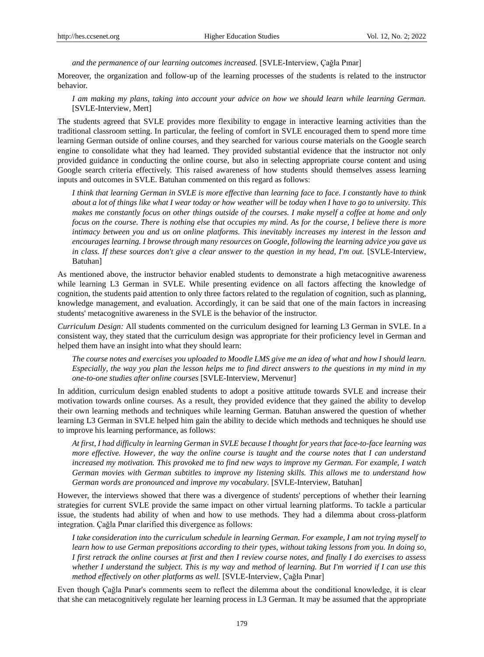*and the permanence of our learning outcomes increased.* [SVLE-Interview, Çağla Pınar]

Moreover, the organization and follow-up of the learning processes of the students is related to the instructor behavior.

*I am making my plans, taking into account your advice on how we should learn while learning German.* [SVLE-Interview, Mert]

The students agreed that SVLE provides more flexibility to engage in interactive learning activities than the traditional classroom setting. In particular, the feeling of comfort in SVLE encouraged them to spend more time learning German outside of online courses, and they searched for various course materials on the Google search engine to consolidate what they had learned. They provided substantial evidence that the instructor not only provided guidance in conducting the online course, but also in selecting appropriate course content and using Google search criteria effectively. This raised awareness of how students should themselves assess learning inputs and outcomes in SVLE. Batuhan commented on this regard as follows:

*I think that learning German in SVLE is more effective than learning face to face. I constantly have to think about a lot of things like what I wear today or how weather will be today when I have to go to university. This makes me constantly focus on other things outside of the courses. I make myself a coffee at home and only focus on the course. There is nothing else that occupies my mind. As for the course, I believe there is more intimacy between you and us on online platforms. This inevitably increases my interest in the lesson and encourages learning. I browse through many resources on Google, following the learning advice you gave us in class. If these sources don't give a clear answer to the question in my head, I'm out.* [SVLE-Interview, Batuhan]

As mentioned above, the instructor behavior enabled students to demonstrate a high metacognitive awareness while learning L3 German in SVLE. While presenting evidence on all factors affecting the knowledge of cognition, the students paid attention to only three factors related to the regulation of cognition, such as planning, knowledge management, and evaluation. Accordingly, it can be said that one of the main factors in increasing students' metacognitive awareness in the SVLE is the behavior of the instructor.

*Curriculum Design:* All students commented on the curriculum designed for learning L3 German in SVLE. In a consistent way, they stated that the curriculum design was appropriate for their proficiency level in German and helped them have an insight into what they should learn:

*The course notes and exercises you uploaded to Moodle LMS give me an idea of what and how I should learn. Especially, the way you plan the lesson helps me to find direct answers to the questions in my mind in my one-to-one studies after online courses* [SVLE-Interview, Mervenur]

In addition, curriculum design enabled students to adopt a positive attitude towards SVLE and increase their motivation towards online courses. As a result, they provided evidence that they gained the ability to develop their own learning methods and techniques while learning German. Batuhan answered the question of whether learning L3 German in SVLE helped him gain the ability to decide which methods and techniques he should use to improve his learning performance, as follows:

*At first, I had difficulty in learning German in SVLE because I thought for years that face-to-face learning was more effective. However, the way the online course is taught and the course notes that I can understand increased my motivation. This provoked me to find new ways to improve my German. For example, I watch German movies with German subtitles to improve my listening skills. This allows me to understand how German words are pronounced and improve my vocabulary.* [SVLE-Interview, Batuhan]

However, the interviews showed that there was a divergence of students' perceptions of whether their learning strategies for current SVLE provide the same impact on other virtual learning platforms. To tackle a particular issue, the students had ability of when and how to use methods. They had a dilemma about cross-platform integration. Çağla Pınar clarified this divergence as follows:

*I take consideration into the curriculum schedule in learning German. For example, I am not trying myself to learn how to use German prepositions according to their types, without taking lessons from you. In doing so, I first retrack the online courses at first and then I review course notes, and finally I do exercises to assess whether I understand the subject. This is my way and method of learning. But I'm worried if I can use this method effectively on other platforms as well.* [SVLE-Interview, Çağla Pınar]

Even though Çağla Pınar's comments seem to reflect the dilemma about the conditional knowledge, it is clear that she can metacognitively regulate her learning process in L3 German. It may be assumed that the appropriate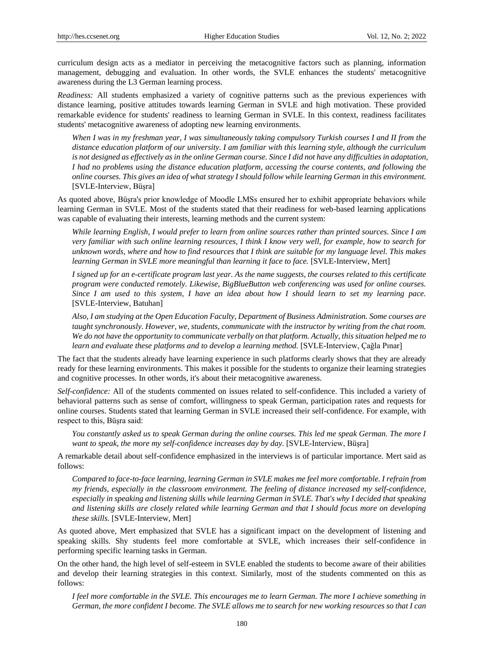curriculum design acts as a mediator in perceiving the metacognitive factors such as planning, information management, debugging and evaluation. In other words, the SVLE enhances the students' metacognitive awareness during the L3 German learning process.

*Readiness:* All students emphasized a variety of cognitive patterns such as the previous experiences with distance learning, positive attitudes towards learning German in SVLE and high motivation. These provided remarkable evidence for students' readiness to learning German in SVLE. In this context, readiness facilitates students' metacognitive awareness of adopting new learning environments.

*When I was in my freshman year, I was simultaneously taking compulsory Turkish courses I and II from the distance education platform of our university. I am familiar with this learning style, although the curriculum*  is not designed as effectively as in the online German course. Since I did not have any difficulties in adaptation, *I had no problems using the distance education platform, accessing the course contents, and following the online courses. This gives an idea of what strategy I should follow while learning German in this environment.* [SVLE-Interview, Büşra]

As quoted above, Büşra's prior knowledge of Moodle LMSs ensured her to exhibit appropriate behaviors while learning German in SVLE. Most of the students stated that their readiness for web-based learning applications was capable of evaluating their interests, learning methods and the current system:

*While learning English, I would prefer to learn from online sources rather than printed sources. Since I am very familiar with such online learning resources, I think I know very well, for example, how to search for unknown words, where and how to find resources that I think are suitable for my language level. This makes learning German in SVLE more meaningful than learning it face to face.* [SVLE-Interview, Mert]

*I signed up for an e-certificate program last year. As the name suggests, the courses related to this certificate program were conducted remotely. Likewise, BigBlueButton web conferencing was used for online courses. Since I am used to this system, I have an idea about how I should learn to set my learning pace.* [SVLE-Interview, Batuhan]

*Also, I am studying at the Open Education Faculty, Department of Business Administration. Some courses are taught synchronously. However, we, students, communicate with the instructor by writing from the chat room. We do not have the opportunity to communicate verbally on that platform. Actually, this situation helped me to learn and evaluate these platforms and to develop a learning method.* [SVLE-Interview, Çağla Pınar]

The fact that the students already have learning experience in such platforms clearly shows that they are already ready for these learning environments. This makes it possible for the students to organize their learning strategies and cognitive processes. In other words, it's about their metacognitive awareness.

*Self-confidence:* All of the students commented on issues related to self-confidence. This included a variety of behavioral patterns such as sense of comfort, willingness to speak German, participation rates and requests for online courses. Students stated that learning German in SVLE increased their self-confidence. For example, with respect to this, Büşra said:

*You constantly asked us to speak German during the online courses. This led me speak German. The more I want to speak, the more my self-confidence increases day by day.* [SVLE-Interview, Büşra]

A remarkable detail about self-confidence emphasized in the interviews is of particular importance. Mert said as follows:

*Compared to face-to-face learning, learning German in SVLE makes me feel more comfortable. I refrain from my friends, especially in the classroom environment. The feeling of distance increased my self-confidence, especially in speaking and listening skills while learning German in SVLE. That's why I decided that speaking and listening skills are closely related while learning German and that I should focus more on developing these skills.* [SVLE-Interview, Mert]

As quoted above, Mert emphasized that SVLE has a significant impact on the development of listening and speaking skills. Shy students feel more comfortable at SVLE, which increases their self-confidence in performing specific learning tasks in German.

On the other hand, the high level of self-esteem in SVLE enabled the students to become aware of their abilities and develop their learning strategies in this context. Similarly, most of the students commented on this as follows:

*I feel more comfortable in the SVLE. This encourages me to learn German. The more I achieve something in German, the more confident I become. The SVLE allows me to search for new working resources so that I can*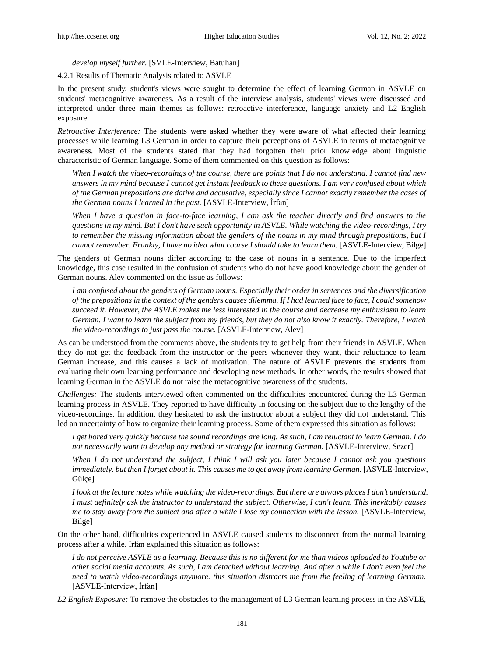*develop myself further*. [SVLE-Interview, Batuhan]

4.2.1 Results of Thematic Analysis related to ASVLE

In the present study, student's views were sought to determine the effect of learning German in ASVLE on students' metacognitive awareness. As a result of the interview analysis, students' views were discussed and interpreted under three main themes as follows: retroactive interference, language anxiety and L2 English exposure.

*Retroactive Interference:* The students were asked whether they were aware of what affected their learning processes while learning L3 German in order to capture their perceptions of ASVLE in terms of metacognitive awareness. Most of the students stated that they had forgotten their prior knowledge about linguistic characteristic of German language. Some of them commented on this question as follows:

*When I watch the video-recordings of the course, there are points that I do not understand. I cannot find new answers in my mind because I cannot get instant feedback to these questions. I am very confused about which of the German prepositions are dative and accusative, especially since I cannot exactly remember the cases of the German nouns I learned in the past.* [ASVLE-Interview, İrfan]

*When I have a question in face-to-face learning, I can ask the teacher directly and find answers to the questions in my mind. But I don't have such opportunity in ASVLE. While watching the video-recordings, I try to remember the missing information about the genders of the nouns in my mind through prepositions, but I cannot remember. Frankly, I have no idea what course I should take to learn them.* [ASVLE-Interview, Bilge]

The genders of German nouns differ according to the case of nouns in a sentence. Due to the imperfect knowledge, this case resulted in the confusion of students who do not have good knowledge about the gender of German nouns. Alev commented on the issue as follows:

*I am confused about the genders of German nouns. Especially their order in sentences and the diversification of the prepositions in the context of the genders causes dilemma. If I had learned face to face, I could somehow succeed it. However, the ASVLE makes me less interested in the course and decrease my enthusiasm to learn German. I want to learn the subject from my friends, but they do not also know it exactly. Therefore, I watch the video-recordings to just pass the course.* [ASVLE-Interview, Alev]

As can be understood from the comments above, the students try to get help from their friends in ASVLE. When they do not get the feedback from the instructor or the peers whenever they want, their reluctance to learn German increase, and this causes a lack of motivation. The nature of ASVLE prevents the students from evaluating their own learning performance and developing new methods. In other words, the results showed that learning German in the ASVLE do not raise the metacognitive awareness of the students.

*Challenges:* The students interviewed often commented on the difficulties encountered during the L3 German learning process in ASVLE. They reported to have difficulty in focusing on the subject due to the lengthy of the video-recordings. In addition, they hesitated to ask the instructor about a subject they did not understand. This led an uncertainty of how to organize their learning process. Some of them expressed this situation as follows:

*I get bored very quickly because the sound recordings are long. As such, I am reluctant to learn German. I do not necessarily want to develop any method or strategy for learning German.* [ASVLE-Interview, Sezer]

*When I do not understand the subject, I think I will ask you later because I cannot ask you questions immediately. but then I forget about it. This causes me to get away from learning German.* [ASVLE-Interview,  $G$  il  $\infty$ ]

*I look at the lecture notes while watching the video-recordings. But there are always places I don't understand. I must definitely ask the instructor to understand the subject. Otherwise, I can't learn. This inevitably causes me to stay away from the subject and after a while I lose my connection with the lesson.* [ASVLE-Interview, Bilge]

On the other hand, difficulties experienced in ASVLE caused students to disconnect from the normal learning process after a while. İrfan explained this situation as follows:

*I do not perceive ASVLE as a learning. Because this is no different for me than videos uploaded to Youtube or other social media accounts. As such, I am detached without learning. And after a while I don't even feel the need to watch video-recordings anymore. this situation distracts me from the feeling of learning German.* [ASVLE-Interview, Irfan]

*L2 English Exposure:* To remove the obstacles to the management of L3 German learning process in the ASVLE,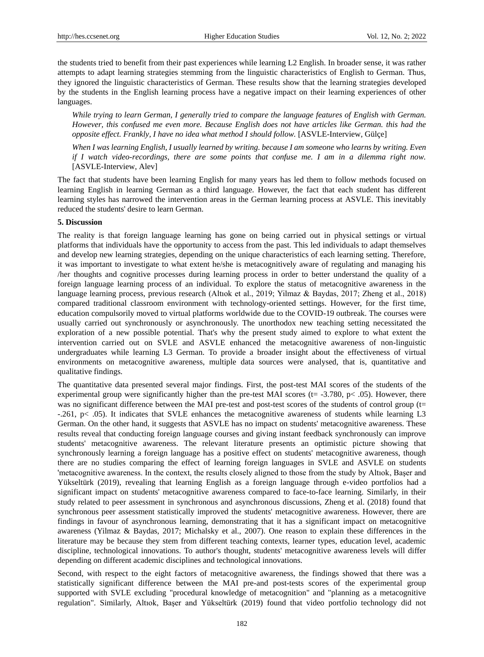the students tried to benefit from their past experiences while learning L2 English. In broader sense, it was rather attempts to adapt learning strategies stemming from the linguistic characteristics of English to German. Thus, they ignored the linguistic characteristics of German. These results show that the learning strategies developed by the students in the English learning process have a negative impact on their learning experiences of other languages.

*While trying to learn German, I generally tried to compare the language features of English with German. However, this confused me even more. Because English does not have articles like German. this had the opposite effect. Frankly, I have no idea what method I should follow.* [ASVLE-Interview, Gülçe]

*When I was learning English, I usually learned by writing. because I am someone who learns by writing. Even if I watch video-recordings, there are some points that confuse me. I am in a dilemma right now.* [ASVLE-Interview, Alev]

The fact that students have been learning English for many years has led them to follow methods focused on learning English in learning German as a third language. However, the fact that each student has different learning styles has narrowed the intervention areas in the German learning process at ASVLE. This inevitably reduced the students' desire to learn German.

#### **5. Discussion**

The reality is that foreign language learning has gone on being carried out in physical settings or virtual platforms that individuals have the opportunity to access from the past. This led individuals to adapt themselves and develop new learning strategies, depending on the unique characteristics of each learning setting. Therefore, it was important to investigate to what extent he/she is metacognitively aware of regulating and managing his /her thoughts and cognitive processes during learning process in order to better understand the quality of a foreign language learning process of an individual. To explore the status of metacognitive awareness in the language learning process, previous research (Altıok et al., 2019; Yilmaz & Baydas, 2017; Zheng et al., 2018) compared traditional classroom environment with technology-oriented settings. However, for the first time, education compulsorily moved to virtual platforms worldwide due to the COVID-19 outbreak. The courses were usually carried out synchronously or asynchronously. The unorthodox new teaching setting necessitated the exploration of a new possible potential. That's why the present study aimed to explore to what extent the intervention carried out on SVLE and ASVLE enhanced the metacognitive awareness of non-linguistic undergraduates while learning L3 German. To provide a broader insight about the effectiveness of virtual environments on metacognitive awareness, multiple data sources were analysed, that is, quantitative and qualitative findings.

The quantitative data presented several major findings. First, the post-test MAI scores of the students of the experimental group were significantly higher than the pre-test MAI scores ( $t = -3.780$ ,  $p < .05$ ). However, there was no significant difference between the MAI pre-test and post-test scores of the students of control group (t= -.261, p< .05). It indicates that SVLE enhances the metacognitive awareness of students while learning L3 German. On the other hand, it suggests that ASVLE has no impact on students' metacognitive awareness. These results reveal that conducting foreign language courses and giving instant feedback synchronously can improve students' metacognitive awareness. The relevant literature presents an optimistic picture showing that synchronously learning a foreign language has a positive effect on students' metacognitive awareness, though there are no studies comparing the effect of learning foreign languages in SVLE and ASVLE on students 'metacognitive awareness. In the context, the results closely aligned to those from the study by Altıok, Başer and Yükseltürk (2019), revealing that learning English as a foreign language through e-video portfolios had a significant impact on students' metacognitive awareness compared to face-to-face learning. Similarly, in their study related to peer assessment in synchronous and asynchronous discussions, Zheng et al. (2018) found that synchronous peer assessment statistically improved the students' metacognitive awareness. However, there are findings in favour of asynchronous learning, demonstrating that it has a significant impact on metacognitive awareness (Yilmaz & Baydas, 2017; Michalsky et al., 2007). One reason to explain these differences in the literature may be because they stem from different teaching contexts, learner types, education level, academic discipline, technological innovations. To author's thought, students' metacognitive awareness levels will differ depending on different academic disciplines and technological innovations.

Second, with respect to the eight factors of metacognitive awareness, the findings showed that there was a statistically significant difference between the MAI pre-and post-tests scores of the experimental group supported with SVLE excluding "procedural knowledge of metacognition" and "planning as a metacognitive regulation". Similarly, Altıok, Başer and Yükseltürk (2019) found that video portfolio technology did not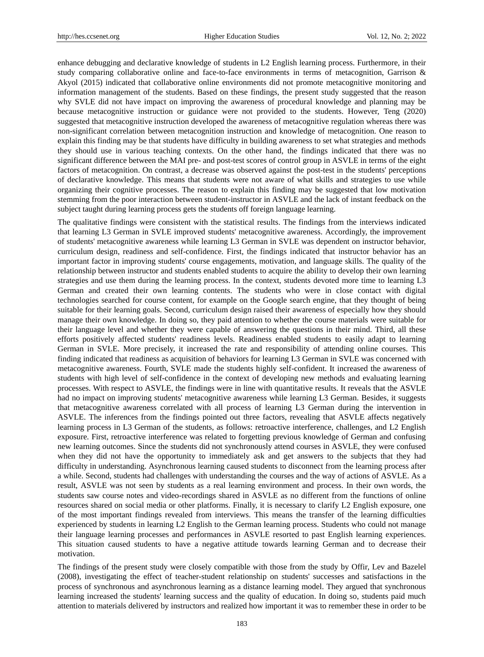enhance debugging and declarative knowledge of students in L2 English learning process. Furthermore, in their study comparing collaborative online and face-to-face environments in terms of metacognition, Garrison & Akyol (2015) indicated that collaborative online environments did not promote metacognitive monitoring and information management of the students. Based on these findings, the present study suggested that the reason why SVLE did not have impact on improving the awareness of procedural knowledge and planning may be because metacognitive instruction or guidance were not provided to the students. However, Teng (2020) suggested that metacognitive instruction developed the awareness of metacognitive regulation whereas there was non-significant correlation between metacognition instruction and knowledge of metacognition. One reason to explain this finding may be that students have difficulty in building awareness to set what strategies and methods they should use in various teaching contexts. On the other hand, the findings indicated that there was no significant difference between the MAI pre- and post-test scores of control group in ASVLE in terms of the eight factors of metacognition. On contrast, a decrease was observed against the post-test in the students' perceptions of declarative knowledge. This means that students were not aware of what skills and strategies to use while organizing their cognitive processes. The reason to explain this finding may be suggested that low motivation stemming from the poor interaction between student-instructor in ASVLE and the lack of instant feedback on the subject taught during learning process gets the students off foreign language learning.

The qualitative findings were consistent with the statistical results. The findings from the interviews indicated that learning L3 German in SVLE improved students' metacognitive awareness. Accordingly, the improvement of students' metacognitive awareness while learning L3 German in SVLE was dependent on instructor behavior, curriculum design, readiness and self-confidence. First, the findings indicated that instructor behavior has an important factor in improving students' course engagements, motivation, and language skills. The quality of the relationship between instructor and students enabled students to acquire the ability to develop their own learning strategies and use them during the learning process. In the context, students devoted more time to learning L3 German and created their own learning contents. The students who were in close contact with digital technologies searched for course content, for example on the Google search engine, that they thought of being suitable for their learning goals. Second, curriculum design raised their awareness of especially how they should manage their own knowledge. In doing so, they paid attention to whether the course materials were suitable for their language level and whether they were capable of answering the questions in their mind. Third, all these efforts positively affected students' readiness levels. Readiness enabled students to easily adapt to learning German in SVLE. More precisely, it increased the rate and responsibility of attending online courses. This finding indicated that readiness as acquisition of behaviors for learning L3 German in SVLE was concerned with metacognitive awareness. Fourth, SVLE made the students highly self-confident. It increased the awareness of students with high level of self-confidence in the context of developing new methods and evaluating learning processes. With respect to ASVLE, the findings were in line with quantitative results. It reveals that the ASVLE had no impact on improving students' metacognitive awareness while learning L3 German. Besides, it suggests that metacognitive awareness correlated with all process of learning L3 German during the intervention in ASVLE. The inferences from the findings pointed out three factors, revealing that ASVLE affects negatively learning process in L3 German of the students, as follows: retroactive interference, challenges, and L2 English exposure. First, retroactive interference was related to forgetting previous knowledge of German and confusing new learning outcomes. Since the students did not synchronously attend courses in ASVLE, they were confused when they did not have the opportunity to immediately ask and get answers to the subjects that they had difficulty in understanding. Asynchronous learning caused students to disconnect from the learning process after a while. Second, students had challenges with understanding the courses and the way of actions of ASVLE. As a result, ASVLE was not seen by students as a real learning environment and process. In their own words, the students saw course notes and video-recordings shared in ASVLE as no different from the functions of online resources shared on social media or other platforms. Finally, it is necessary to clarify L2 English exposure, one of the most important findings revealed from interviews. This means the transfer of the learning difficulties experienced by students in learning L2 English to the German learning process. Students who could not manage their language learning processes and performances in ASVLE resorted to past English learning experiences. This situation caused students to have a negative attitude towards learning German and to decrease their motivation.

The findings of the present study were closely compatible with those from the study by Offir, Lev and Bazelel (2008), investigating the effect of teacher-student relationship on students' successes and satisfactions in the process of synchronous and asynchronous learning as a distance learning model. They argued that synchronous learning increased the students' learning success and the quality of education. In doing so, students paid much attention to materials delivered by instructors and realized how important it was to remember these in order to be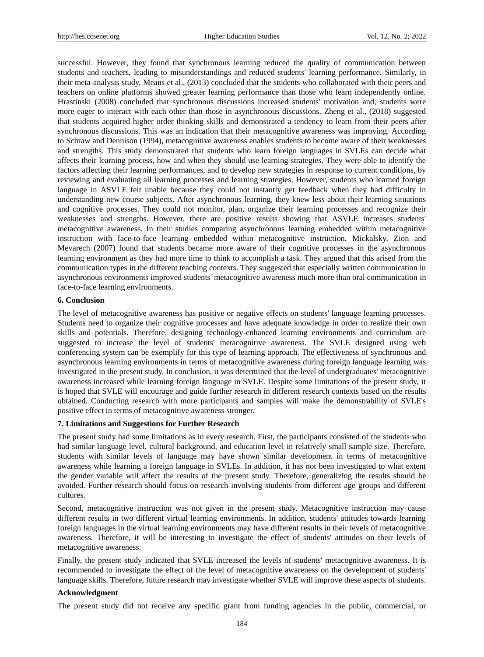successful. However, they found that synchronous learning reduced the quality of communication between students and teachers, leading to misunderstandings and reduced students' learning performance. Similarly, in their meta-analysis study, Means et al., (2013) concluded that the students who collaborated with their peers and teachers on online platforms showed greater learning performance than those who learn independently online. Hrastinski (2008) concluded that synchronous discussions increased students' motivation and, students were more eager to interact with each other than those in asynchronous discussions. Zheng et al., (2018) suggested that students acquired higher order thinking skills and demonstrated a tendency to learn from their peers after synchronous discussions. This was an indication that their metacognitive awareness was improving. According to Schraw and Dennison (1994), metacognitive awareness enables students to become aware of their weaknesses and strengths. This study demonstrated that students who learn foreign languages in SVLEs can decide what affects their learning process, how and when they should use learning strategies. They were able to identify the factors affecting their learning performances, and to develop new strategies in response to current conditions, by reviewing and evaluating all learning processes and learning strategies. However, students who learned foreign language in ASVLE felt unable because they could not instantly get feedback when they had difficulty in understanding new course subjects. After asynchronous learning, they knew less about their learning situations and cognitive processes. They could not monitor, plan, organize their learning processes and recognize their weaknesses and strengths. However, there are positive results showing that ASVLE increases students' metacognitive awareness. In their studies comparing asynchronous learning embedded within metacognitive instruction with face-to-face learning embedded within metacognitive instruction, Mickalsky, Zion and Mevarech (2007) found that students became more aware of their cognitive processes in the asynchronous learning environment as they had more time to think to accomplish a task. They argued that this arised from the communication types in the different teaching contexts. They suggested that especially written communication in asynchronous environments improved students' metacognitive awareness much more than oral communication in face-to-face learning environments.

#### **6. Conclusion**

The level of metacognitive awareness has positive or negative effects on students' language learning processes. Students need to organize their cognitive processes and have adequate knowledge in order to realize their own skills and potentials. Therefore, designing technology-enhanced learning environments and curriculum are suggested to increase the level of students' metacognitive awareness. The SVLE designed using web conferencing system can be exemplify for this type of learning approach. The effectiveness of synchronous and asynchronous learning environments in terms of metacognitive awareness during foreign language learning was investigated in the present study. In conclusion, it was determined that the level of undergraduates' metacognitive awareness increased while learning foreign language in SVLE. Despite some limitations of the present study, it is hoped that SVLE will encourage and guide further research in different research contexts based on the results obtained. Conducting research with more participants and samples will make the demonstrability of SVLE's positive effect in terms of metacognitive awareness stronger.

## **7. Limitations and Suggestions for Further Research**

The present study had some limitations as in every research. First, the participants consisted of the students who had similar language level, cultural background, and education level in relatively small sample size. Therefore, students with similar levels of language may have shown similar development in terms of metacognitive awareness while learning a foreign language in SVLEs. In addition, it has not been investigated to what extent the gender variable will affect the results of the present study. Therefore, generalizing the results should be avoided. Further research should focus on research involving students from different age groups and different cultures.

Second, metacognitive instruction was not given in the present study. Metacognitive instruction may cause different results in two different virtual learning environments. In addition, students' attitudes towards learning foreign languages in the virtual learning environments may have different results in their levels of metacognitive awareness. Therefore, it will be interesting to investigate the effect of students' attitudes on their levels of metacognitive awareness.

Finally, the present study indicated that SVLE increased the levels of students' metacognitive awareness. It is recommended to investigate the effect of the level of metacognitive awareness on the development of students' language skills. Therefore, future research may investigate whether SVLE will improve these aspects of students.

#### **Acknowledgment**

The present study did not receive any specific grant from funding agencies in the public, commercial, or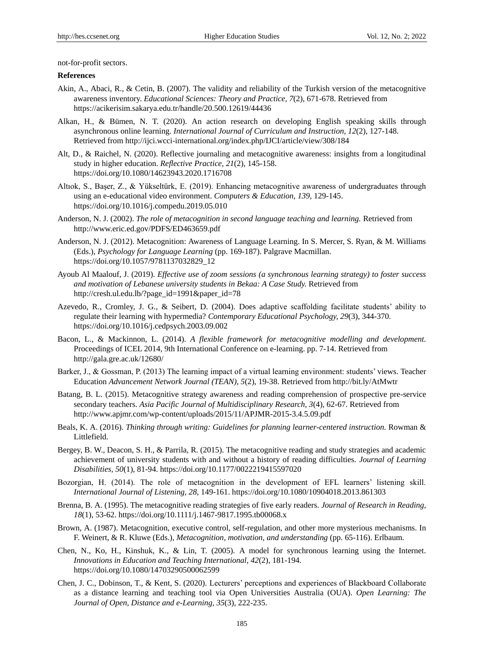not-for-profit sectors.

#### **References**

- Akin, A., Abaci, R., & Cetin, B. (2007). The validity and reliability of the Turkish version of the metacognitive awareness inventory. *Educational Sciences: Theory and Practice, 7*(2), 671-678. Retrieved from https://acikerisim.sakarya.edu.tr/handle/20.500.12619/44436
- Alkan, H., & Bümen, N. T. (2020). An action research on developing English speaking skills through asynchronous online learning. *International Journal of Curriculum and Instruction, 12*(2), 127-148. Retrieved from http://ijci.wcci-international.org/index.php/IJCI/article/view/308/184
- Alt, D., & Raichel, N. (2020). Reflective journaling and metacognitive awareness: insights from a longitudinal study in higher education. *Reflective Practice, 21*(2), 145-158. https://doi.org/10.1080/14623943.2020.1716708
- Altıok, S., Başer, Z., & Yükseltürk, E. (2019). Enhancing metacognitive awareness of undergraduates through using an e-educational video environment. *Computers & Education, 139,* 129-145. https://doi.org/10.1016/j.compedu.2019.05.010
- Anderson, N. J. (2002). *The role of metacognition in second language teaching and learning.* Retrieved from http://www.eric.ed.gov/PDFS/ED463659.pdf
- Anderson, N. J. (2012). Metacognition: Awareness of Language Learning. In S. Mercer, S. Ryan, & M. Williams (Eds.), *Psychology for Language Learning* (pp. 169-187). Palgrave Macmillan. https://doi.org/10.1057/9781137032829\_12
- Ayoub Al Maalouf, J. (2019). *Effective use of zoom sessions (a synchronous learning strategy) to foster success and motivation of Lebanese university students in Bekaa: A Case Study.* Retrieved from http://cresh.ul.edu.lb/?page\_id=1991&paper\_id=78
- Azevedo, R., Cromley, J. G., & Seibert, D. (2004). Does adaptive scaffolding facilitate students' ability to regulate their learning with hypermedia? *Contemporary Educational Psychology, 29*(3), 344-370. https://doi.org/10.1016/j.cedpsych.2003.09.002
- Bacon, L., & Mackinnon, L. (2014). *A flexible framework for metacognitive modelling and development.*  Proceedings of ICEL 2014, 9th International Conference on e-learning. pp. 7-14. Retrieved from http://gala.gre.ac.uk/12680/
- Barker, J., & Gossman, P. (2013) The learning impact of a virtual learning environment: students' views. Teacher Education *Advancement Network Journal (TEAN), 5*(2), 19-38. Retrieved from http://bit.ly/AtMwtr
- Batang, B. L. (2015). Metacognitive strategy awareness and reading comprehension of prospective pre-service secondary teachers. *Asia Pacific Journal of Multidisciplinary Research, 3*(4), 62-67. Retrieved from http://www.apjmr.com/wp-content/uploads/2015/11/APJMR-2015-3.4.5.09.pdf
- Beals, K. A. (2016). *Thinking through writing: Guidelines for planning learner-centered instruction.* Rowman & Littlefield.
- Bergey, B. W., Deacon, S. H., & Parrila, R. (2015). The metacognitive reading and study strategies and academic achievement of university students with and without a history of reading difficulties. *Journal of Learning Disabilities, 50*(1), 81-94. https://doi.org/10.1177/0022219415597020
- Bozorgian, H. (2014). The role of metacognition in the development of EFL learners' listening skill. *International Journal of Listening, 28,* 149-161. https://doi.org/10.1080/10904018.2013.861303
- Brenna, B. A. (1995). The metacognitive reading strategies of five early readers. *Journal of Research in Reading, 18*(1), 53-62. https://doi.org/10.1111/j.1467-9817.1995.tb00068.x
- Brown, A. (1987). Metacognition, executive control, self-regulation, and other more mysterious mechanisms. In F. Weinert, & R. Kluwe (Eds.), *Metacognition, motivation, and understanding* (pp. 65-116). Erlbaum.
- Chen, N., Ko, H., Kinshuk, K., & Lin, T. (2005). A model for synchronous learning using the Internet. *Innovations in Education and Teaching International, 42*(2), 181-194. https://doi.org/10.1080/14703290500062599
- Chen, J. C., Dobinson, T., & Kent, S. (2020). Lecturers' perceptions and experiences of Blackboard Collaborate as a distance learning and teaching tool via Open Universities Australia (OUA). *Open Learning: The Journal of Open, Distance and e-Learning, 35*(3), 222-235.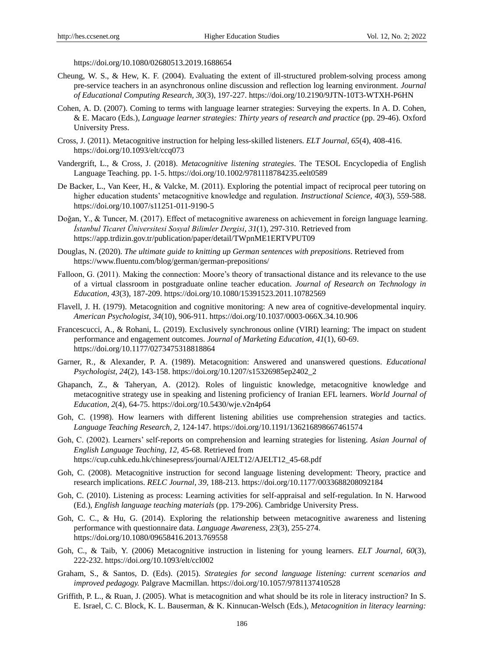https://doi.org/10.1080/02680513.2019.1688654

- Cheung, W. S., & Hew, K. F. (2004). Evaluating the extent of ill-structured problem-solving process among pre-service teachers in an asynchronous online discussion and reflection log learning environment. *Journal of Educational Computing Research, 30*(3), 197-227. https://doi.org/10.2190/9JTN-10T3-WTXH-P6HN
- Cohen, A. D. (2007). Coming to terms with language learner strategies: Surveying the experts. In A. D. Cohen, & E. Macaro (Eds.), *Language learner strategies: Thirty years of research and practice* (pp. 29-46). Oxford University Press.
- Cross, J. (2011). Metacognitive instruction for helping less-skilled listeners. *ELT Journal, 65*(4), 408-416. https://doi.org/10.1093/elt/ccq073
- Vandergrift, L., & Cross, J. (2018). *Metacognitive listening strategies*. The TESOL Encyclopedia of English Language Teaching. pp. 1-5. https://doi.org/10.1002/9781118784235.eelt0589
- De Backer, L., Van Keer, H., & Valcke, M. (2011). Exploring the potential impact of reciprocal peer tutoring on higher education students' metacognitive knowledge and regulation. *Instructional Science, 40*(3), 559-588. https://doi.org/10.1007/s11251-011-9190-5
- Doğan, Y., & Tuncer, M. (2017). Effect of metacognitive awareness on achievement in foreign language learning. *İstanbul Ticaret Üniversitesi Sosyal Bilimler Dergisi, 31*(1), 297-310. Retrieved from https://app.trdizin.gov.tr/publication/paper/detail/TWpnME1ERTVPUT09
- Douglas, N. (2020). *The ultimate guide to knitting up German sentences with prepositions*. Retrieved from https://www.fluentu.com/blog/german/german-prepositions/
- Falloon, G. (2011). Making the connection: Moore's theory of transactional distance and its relevance to the use of a virtual classroom in postgraduate online teacher education. *Journal of Research on Technology in Education, 43*(3), 187-209. https://doi.org/10.1080/15391523.2011.10782569
- Flavell, J. H. (1979). Metacognition and cognitive monitoring: A new area of cognitive-developmental inquiry. *American Psychologist, 34*(10), 906-911. https://doi.org/10.1037/0003-066X.34.10.906
- Francescucci, A., & Rohani, L. (2019). Exclusively synchronous online (VIRI) learning: The impact on student performance and engagement outcomes. *Journal of Marketing Education, 41*(1), 60-69. https://doi.org/10.1177/0273475318818864
- Garner, R., & Alexander, P. A. (1989). Metacognition: Answered and unanswered questions. *Educational Psychologist, 24*(2), 143-158. https://doi.org/10.1207/s15326985ep2402\_2
- Ghapanch, Z., & Taheryan, A. (2012). Roles of linguistic knowledge, metacognitive knowledge and metacognitive strategy use in speaking and listening proficiency of Iranian EFL learners. *World Journal of Education, 2*(4), 64-75. https://doi.org/10.5430/wje.v2n4p64
- Goh, C. (1998). How learners with different listening abilities use comprehension strategies and tactics. *Language Teaching Research, 2,* 124-147. https://doi.org/10.1191/136216898667461574
- Goh, C. (2002). Learners' self-reports on comprehension and learning strategies for listening. *Asian Journal of English Language Teaching, 12,* 45-68. Retrieved from https://cup.cuhk.edu.hk/chinesepress/journal/AJELT12/AJELT12\_45-68.pdf
- Goh, C. (2008). Metacognitive instruction for second language listening development: Theory, practice and research implications. *RELC Journal, 39,* 188-213. https://doi.org/10.1177/0033688208092184
- Goh, C. (2010). Listening as process: Learning activities for self-appraisal and self-regulation. In N. Harwood (Ed.), *English language teaching materials* (pp. 179-206). Cambridge University Press.
- Goh, C. C., & Hu, G. (2014). Exploring the relationship between metacognitive awareness and listening performance with questionnaire data. *Language Awareness, 23*(3), 255-274. https://doi.org/10.1080/09658416.2013.769558
- Goh, C., & Taib, Y. (2006) Metacognitive instruction in listening for young learners. *ELT Journal, 60*(3), 222-232. https://doi.org/10.1093/elt/ccl002
- Graham, S., & Santos, D. (Eds). (2015). *Strategies for second language listening: current scenarios and improved pedagogy.* Palgrave Macmillan. https://doi.org/10.1057/9781137410528
- Griffith, P. L., & Ruan, J. (2005). What is metacognition and what should be its role in literacy instruction? In S. E. Israel, C. C. Block, K. L. Bauserman, & K. Kinnucan-Welsch (Eds.), *Metacognition in literacy learning:*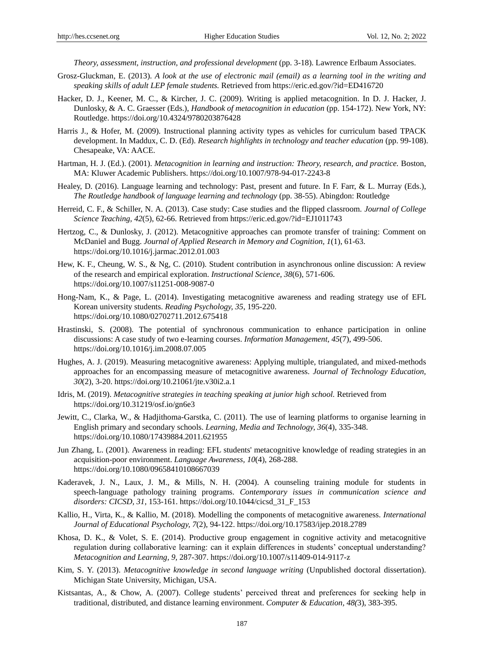*Theory, assessment, instruction, and professional development* (pp. 3-18). Lawrence Erlbaum Associates.

- Grosz-Gluckman, E. (2013). *A look at the use of electronic mail (email) as a learning tool in the writing and speaking skills of adult LEP female students.* Retrieved from https://eric.ed.gov/?id=ED416720
- Hacker, D. J., Keener, M. C., & Kircher, J. C. (2009). Writing is applied metacognition. In D. J. Hacker, J. Dunlosky, & A. C. Graesser (Eds.), *Handbook of metacognition in education* (pp. 154-172). New York, NY: Routledge. https://doi.org/10.4324/9780203876428
- Harris J., & Hofer, M. (2009). Instructional planning activity types as vehicles for curriculum based TPACK development. In Maddux, C. D. (Ed). *Research highlights in technology and teacher education* (pp. 99-108). Chesapeake, VA: AACE.
- Hartman, H. J. (Ed.). (2001). *Metacognition in learning and instruction: Theory, research, and practice.* Boston, MA: Kluwer Academic Publishers. https://doi.org/10.1007/978-94-017-2243-8
- Healey, D. (2016). Language learning and technology: Past, present and future. In F. Farr, & L. Murray (Eds.), *The Routledge handbook of language learning and technology* (pp. 38-55). Abingdon: Routledge
- Herreid, C. F., & Schiller, N. A. (2013). Case study: Case studies and the flipped classroom. *Journal of College Science Teaching, 42*(5), 62-66. Retrieved from https://eric.ed.gov/?id=EJ1011743
- Hertzog, C., & Dunlosky, J. (2012). Metacognitive approaches can promote transfer of training: Comment on McDaniel and Bugg. *Journal of Applied Research in Memory and Cognition, 1*(1), 61-63. https://doi.org/10.1016/j.jarmac.2012.01.003
- Hew, K. F., Cheung, W. S., & Ng, C. (2010). Student contribution in asynchronous online discussion: A review of the research and empirical exploration. *Instructional Science, 38*(6), 571-606. https://doi.org/10.1007/s11251-008-9087-0
- Hong-Nam, K., & Page, L. (2014). Investigating metacognitive awareness and reading strategy use of EFL Korean university students. *Reading Psychology, 35*, 195-220. https://doi.org/10.1080/02702711.2012.675418
- Hrastinski, S. (2008). The potential of synchronous communication to enhance participation in online discussions: A case study of two e-learning courses. *Information Management, 45*(7), 499-506. https://doi.org/10.1016/j.im.2008.07.005
- Hughes, A. J. (2019). Measuring metacognitive awareness: Applying multiple, triangulated, and mixed-methods approaches for an encompassing measure of metacognitive awareness. *Journal of Technology Education, 30*(2), 3-20. https://doi.org/10.21061/jte.v30i2.a.1
- Idris, M. (2019). *Metacognitive strategies in teaching speaking at junior high school.* Retrieved from https://doi.org/10.31219/osf.io/gn6e3
- Jewitt, C., Clarka, W., & Hadjithoma-Garstka, C. (2011). The use of learning platforms to organise learning in English primary and secondary schools. *Learning, Media and Technology, 36*(4), 335-348. https://doi.org/10.1080/17439884.2011.621955
- Jun Zhang, L. (2001). Awareness in reading: EFL students' metacognitive knowledge of reading strategies in an acquisition-poor environment. *Language Awareness, 10*(4), 268-288. https://doi.org/10.1080/09658410108667039
- Kaderavek, J. N., Laux, J. M., & Mills, N. H. (2004). A counseling training module for students in speech-language pathology training programs. *Contemporary issues in communication science and disorders: CICSD, 31,* 153-161. https://doi.org/10.1044/cicsd\_31\_F\_153
- Kallio, H., Virta, K., & Kallio, M. (2018). Modelling the components of metacognitive awareness. *International Journal of Educational Psychology, 7*(2), 94-122. https://doi.org/10.17583/ijep.2018.2789
- Khosa, D. K., & Volet, S. E. (2014). Productive group engagement in cognitive activity and metacognitive regulation during collaborative learning: can it explain differences in students' conceptual understanding? *Metacognition and Learning, 9,* 287-307. https://doi.org/10.1007/s11409-014-9117-z
- Kim, S. Y. (2013). *Metacognitive knowledge in second language writing* (Unpublished doctoral dissertation). Michigan State University, Michigan, USA.
- Kistsantas, A., & Chow, A. (2007). College students' perceived threat and preferences for seeking help in traditional, distributed, and distance learning environment. *Computer & Education, 48(*3), 383-395.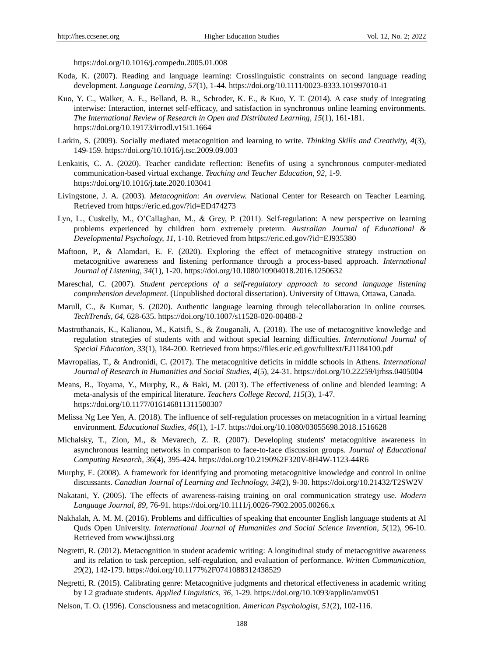https://doi.org/10.1016/j.compedu.2005.01.008

- Koda, K. (2007). Reading and language learning: Crosslinguistic constraints on second language reading development. *Language Learning, 57*(1), 1-44. https://doi.org/10.1111/0023-8333.101997010-i1
- Kuo, Y. C., Walker, A. E., Belland, B. R., Schroder, K. E., & Kuo, Y. T. (2014). A case study of integrating interwise: Interaction, internet self-efficacy, and satisfaction in synchronous online learning environments. *The International Review of Research in Open and Distributed Learning, 15*(1), 161-181. https://doi.org/10.19173/irrodl.v15i1.1664
- Larkin, S. (2009). Socially mediated metacognition and learning to write. *Thinking Skills and Creativity, 4*(3), 149-159. https://doi.org/10.1016/j.tsc.2009.09.003
- Lenkaitis, C. A. (2020). Teacher candidate reflection: Benefits of using a synchronous computer-mediated communication-based virtual exchange. *Teaching and Teacher Education, 92,* 1-9. https://doi.org/10.1016/j.tate.2020.103041
- Livingstone, J. A. (2003). *Metacognition: An overview.* National Center for Research on Teacher Learning. Retrieved from https://eric.ed.gov/?id=ED474273
- Lyn, L., Cuskelly, M., O'Callaghan, M., & Grey, P. (2011). Self-regulation: A new perspective on learning problems experienced by children born extremely preterm. *Australian Journal of Educational & Developmental Psychology, 11*, 1-10. Retrieved from https://eric.ed.gov/?id=EJ935380
- Maftoon, P., & Alamdari, E. F. (2020). Exploring the effect of metacognitive strategy instruction on metacognitive awareness and listening performance through a process-based approach. *International Journal of Listening, 34*(1), 1-20. https://doi.org/10.1080/10904018.2016.1250632
- Mareschal, C. (2007). *Student perceptions of a self-regulatory approach to second language listening comprehension development.* (Unpublished doctoral dissertation). University of Ottawa, Ottawa, Canada.
- Marull, C., & Kumar, S. (2020). Authentic language learning through telecollaboration in online courses. *TechTrends, 64,* 628-635. https://doi.org/10.1007/s11528-020-00488-2
- Mastrothanais, K., Kalianou, M., Katsifi, S., & Zouganali, A. (2018). The use of metacognitive knowledge and regulation strategies of students with and without special learning difficulties. *International Journal of Special Education, 33*(1), 184-200. Retrieved from https://files.eric.ed.gov/fulltext/EJ1184100.pdf
- Mavropalias, T., & Andronidi, C. (2017). The metacognitive deficits in middle schools in Athens. *International Journal of Research in Humanities and Social Studies, 4*(5), 24-31. https://doi.org/10.22259/ijrhss.0405004
- Means, B., Toyama, Y., Murphy, R., & Baki, M. (2013). The effectiveness of online and blended learning: A meta-analysis of the empirical literature. *Teachers College Record, 115*(3), 1-47. https://doi.org/10.1177/016146811311500307
- Melissa Ng Lee Yen, A. (2018). The influence of self-regulation processes on metacognition in a virtual learning environment. *Educational Studies, 46*(1), 1-17. https://doi.org/10.1080/03055698.2018.1516628
- Michalsky, T., Zion, M., & Mevarech, Z. R. (2007). Developing students' metacognitive awareness in asynchronous learning networks in comparison to face-to-face discussion groups. *Journal of Educational Computing Research, 36*(4), 395-424. https://doi.org/10.2190%2F320V-8H4W-1123-44R6
- Murphy, E. (2008). A framework for identifying and promoting metacognitive knowledge and control in online discussants. *Canadian Journal of Learning and Technology, 34*(2), 9-30. https://doi.org/10.21432/T2SW2V
- Nakatani, Y. (2005). The effects of awareness-raising training on oral communication strategy use. *Modern Language Journal, 89,* 76-91. https://doi.org/10.1111/j.0026-7902.2005.00266.x
- Nakhalah, A. M. M. (2016). Problems and difficulties of speaking that encounter English language students at Al Quds Open University. *International Journal of Humanities and Social Science Invention, 5*(12), 96-10. Retrieved from www.ijhssi.org
- Negretti, R. (2012). Metacognition in student academic writing: A longitudinal study of metacognitive awareness and its relation to task perception, self-regulation, and evaluation of performance. *Written Communication, 29*(2), 142-179. https://doi.org/10.1177%2F0741088312438529
- Negretti, R. (2015). Calibrating genre: Metacognitive judgments and rhetorical effectiveness in academic writing by L2 graduate students. *Applied Linguistics, 36*, 1-29. https://doi.org/10.1093/applin/amv051
- Nelson, T. O. (1996). Consciousness and metacognition. *American Psychologist, 51*(2), 102-116.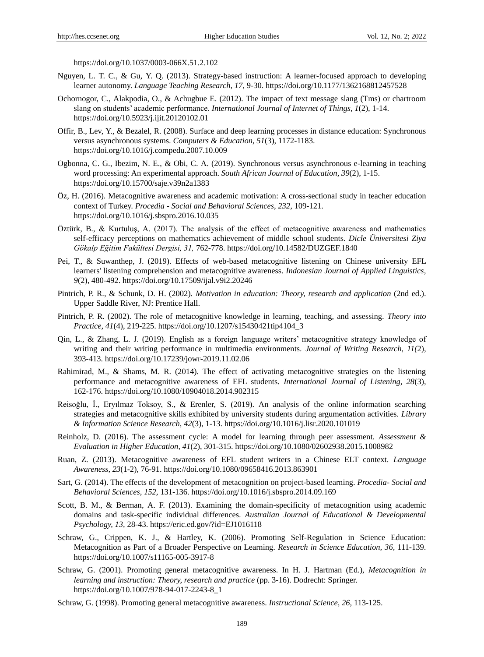https://doi.org/10.1037/0003-066X.51.2.102

- Nguyen, L. T. C., & Gu, Y. Q. (2013). Strategy-based instruction: A learner-focused approach to developing learner autonomy. *Language Teaching Research, 17*, 9-30. https://doi.org/10.1177/1362168812457528
- Ochornogor, C., Alakpodia, O., & Achugbue E. (2012). The impact of text message slang (Tms) or chartroom slang on students' academic performance. *International Journal of Internet of Things, 1*(2), 1-14. https://doi.org/10.5923/j.ijit.20120102.01
- Offir, B., Lev, Y., & Bezalel, R. (2008). Surface and deep learning processes in distance education: Synchronous versus asynchronous systems. *Computers & Education, 51*(3), 1172-1183. https://doi.org/10.1016/j.compedu.2007.10.009
- Ogbonna, C. G., Ibezim, N. E., & Obi, C. A. (2019). Synchronous versus asynchronous e-learning in teaching word processing: An experimental approach. *South African Journal of Education, 39*(2), 1-15. https://doi.org/10.15700/saje.v39n2a1383
- Öz, H. (2016). Metacognitive awareness and academic motivation: A cross-sectional study in teacher education context of Turkey. *Procedia - Social and Behavioral Sciences, 232,* 109-121. https://doi.org/10.1016/j.sbspro.2016.10.035
- Öztürk, B., & Kurtuluş, A. (2017). The analysis of the effect of metacognitive awareness and mathematics self-efficacy perceptions on mathematics achievement of middle school students. *Dicle Üniversitesi Ziya Gökalp Eğitim Fakültesi Dergisi, 31,* 762-778. https://doi.org/10.14582/DUZGEF.1840
- Pei, T., & Suwanthep, J. (2019). Effects of web-based metacognitive listening on Chinese university EFL learners' listening comprehension and metacognitive awareness. *Indonesian Journal of Applied Linguistics, 9*(2), 480-492. https://doi.org/10.17509/ijal.v9i2.20246
- Pintrich, P. R., & Schunk, D. H. (2002). *Motivation in education: Theory, research and application* (2nd ed.). Upper Saddle River, NJ: Prentice Hall.
- Pintrich, P. R. (2002). The role of metacognitive knowledge in learning, teaching, and assessing. *Theory into Practice, 41*(4), 219-225. https://doi.org/10.1207/s15430421tip4104\_3
- Qin, L., & Zhang, L. J. (2019). English as a foreign language writers' metacognitive strategy knowledge of writing and their writing performance in multimedia environments. *Journal of Writing Research, 11(*2), 393-413. https://doi.org/10.17239/jowr-2019.11.02.06
- Rahimirad, M., & Shams, M. R. (2014). The effect of activating metacognitive strategies on the listening performance and metacognitive awareness of EFL students. *International Journal of Listening, 28*(3), 162-176. https://doi.org/10.1080/10904018.2014.902315
- Reisoğlu, İ., Eryılmaz Toksoy, S., & Erenler, S. (2019). An analysis of the online information searching strategies and metacognitive skills exhibited by university students during argumentation activities. *Library & Information Science Research, 42*(3), 1-13. https://doi.org/10.1016/j.lisr.2020.101019
- Reinholz, D. (2016). The assessment cycle: A model for learning through peer assessment. *Assessment & Evaluation in Higher Education, 41*(2), 301-315. https://doi.org/10.1080/02602938.2015.1008982
- Ruan, Z. (2013). Metacognitive awareness of EFL student writers in a Chinese ELT context. *Language Awareness, 23*(1-2), 76-91. https://doi.org/10.1080/09658416.2013.863901
- Sart, G. (2014). The effects of the development of metacognition on project-based learning. *Procedia- Social and Behavioral Sciences, 152,* 131-136. https://doi.org/10.1016/j.sbspro.2014.09.169
- Scott, B. M., & Berman, A. F. (2013). Examining the domain-specificity of metacognition using academic domains and task-specific individual differences. *Australian Journal of Educational & Developmental Psychology, 13,* 28-43. https://eric.ed.gov/?id=EJ1016118
- Schraw, G., Crippen, K. J., & Hartley, K. (2006). Promoting Self-Regulation in Science Education: Metacognition as Part of a Broader Perspective on Learning. *Research in Science Education, 36,* 111-139. https://doi.org/10.1007/s11165-005-3917-8
- Schraw, G. (2001). Promoting general metacognitive awareness. In H. J. Hartman (Ed.), *Metacognition in learning and instruction: Theory, research and practice* (pp. 3-16). Dodrecht: Springer. https://doi.org/10.1007/978-94-017-2243-8\_1
- Schraw, G. (1998). Promoting general metacognitive awareness. *Instructional Science, 26,* 113-125.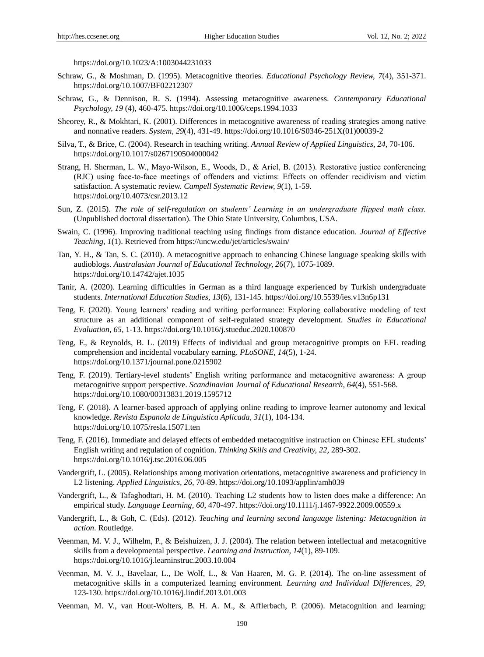https://doi.org/10.1023/A:1003044231033

- Schraw, G., & Moshman, D. (1995). Metacognitive theories. *Educational Psychology Review, 7*(4), 351-371. https://doi.org/10.1007/BF02212307
- Schraw, G., & Dennison, R. S. (1994). Assessing metacognitive awareness. *Contemporary Educational Psychology, 19* (4), 460-475. https://doi.org/10.1006/ceps.1994.1033
- Sheorey, R., & Mokhtari, K. (2001). Differences in metacognitive awareness of reading strategies among native and nonnative readers. *System, 29*(4), 431-49. https://doi.org/10.1016/S0346-251X(01)00039-2
- Silva, T., & Brice, C. (2004). Research in teaching writing. *Annual Review of Applied Linguistics, 24*, 70-106. https://doi.org/10.1017/s0267190504000042
- Strang, H. Sherman, L. W., Mayo‐Wilson, E., Woods, D., & Ariel, B. (2013). Restorative justice conferencing (RJC) using face‐to‐face meetings of offenders and victims: Effects on offender recidivism and victim satisfaction. A systematic review. *Campell Systematic Review, 9*(1), 1-59. https://doi.org/10.4073/csr.2013.12
- Sun, Z. (2015). *The role of self-regulation on students' Learning in an undergraduate flipped math class.* (Unpublished doctoral dissertation). The Ohio State University, Columbus, USA.
- Swain, C. (1996). Improving traditional teaching using findings from distance education. *Journal of Effective Teaching, 1*(1). Retrieved from https://uncw.edu/jet/articles/swain/
- Tan, Y. H., & Tan, S. C. (2010). A metacognitive approach to enhancing Chinese language speaking skills with audioblogs. *Australasian Journal of Educational Technology, 26*(7), 1075-1089. https://doi.org/10.14742/ajet.1035
- Tanir, A. (2020). Learning difficulties in German as a third language experienced by Turkish undergraduate students. *International Education Studies, 13*(6), 131-145. https://doi.org/10.5539/ies.v13n6p131
- Teng, F. (2020). Young learners' reading and writing performance: Exploring collaborative modeling of text structure as an additional component of self-regulated strategy development. *Studies in Educational Evaluation, 65,* 1-13. https://doi.org/10.1016/j.stueduc.2020.100870
- Teng, F., & Reynolds, B. L. (2019) Effects of individual and group metacognitive prompts on EFL reading comprehension and incidental vocabulary earning. *PLoSONE, 14*(5), 1-24. https://doi.org/10.1371/journal.pone.0215902
- Teng, F. (2019). Tertiary-level students' English writing performance and metacognitive awareness: A group metacognitive support perspective. *Scandinavian Journal of Educational Research, 64*(4), 551-568. https://doi.org/10.1080/00313831.2019.1595712
- Teng, F. (2018). A learner-based approach of applying online reading to improve learner autonomy and lexical knowledge. *Revista Espanola de Linguistica Aplicada, 31*(1), 104-134. https://doi.org/10.1075/resla.15071.ten
- Teng, F. (2016). Immediate and delayed effects of embedded metacognitive instruction on Chinese EFL students' English writing and regulation of cognition. *Thinking Skills and Creativity, 22,* 289-302. https://doi.org/10.1016/j.tsc.2016.06.005
- Vandergrift, L. (2005). Relationships among motivation orientations, metacognitive awareness and proficiency in L2 listening. *Applied Linguistics, 26,* 70-89. https://doi.org/10.1093/applin/amh039
- Vandergrift, L., & Tafaghodtari, H. M. (2010). Teaching L2 students how to listen does make a difference: An empirical study. *Language Learning, 60*, 470-497. https://doi.org/10.1111/j.1467-9922.2009.00559.x
- Vandergrift, L., & Goh, C. (Eds). (2012). *Teaching and learning second language listening: Metacognition in action*. Routledge.
- Veenman, M. V. J., Wilhelm, P., & Beishuizen, J. J. (2004). The relation between intellectual and metacognitive skills from a developmental perspective. *Learning and Instruction, 14*(1), 89-109. https://doi.org/10.1016/j.learninstruc.2003.10.004
- Veenman, M. V. J., Bavelaar, L., De Wolf, L., & Van Haaren, M. G. P. (2014). The on-line assessment of metacognitive skills in a computerized learning environment. *Learning and Individual Differences, 29,* 123-130. https://doi.org/10.1016/j.lindif.2013.01.003
- Veenman, M. V., van Hout-Wolters, B. H. A. M., & Afflerbach, P. (2006). Metacognition and learning: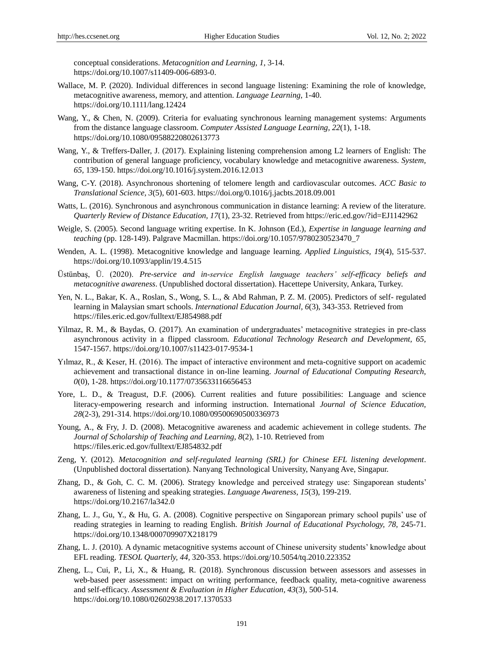conceptual considerations. *Metacognition and Learning, 1*, 3-14. https://doi.org/10.1007/s11409-006-6893-0.

- Wallace, M. P. (2020). Individual differences in second language listening: Examining the role of knowledge, metacognitive awareness, memory, and attention. *Language Learning,* 1-40. https://doi.org/10.1111/lang.12424
- Wang, Y., & Chen, N. (2009). Criteria for evaluating synchronous learning management systems: Arguments from the distance language classroom. *Computer Assisted Language Learning, 22*(1), 1-18. https://doi.org/10.1080/09588220802613773
- Wang, Y., & Treffers-Daller, J. (2017). Explaining listening comprehension among L2 learners of English: The contribution of general language proficiency, vocabulary knowledge and metacognitive awareness. *System, 65,* 139-150. https://doi.org/10.1016/j.system.2016.12.013
- Wang, C-Y. (2018). Asynchronous shortening of telomere length and cardiovascular outcomes. *ACC Basic to Translational Science, 3*(5), 601-603. https://doi.org/0.1016/j.jacbts.2018.09.001
- Watts, L. (2016). Synchronous and asynchronous communication in distance learning: A review of the literature. *Quarterly Review of Distance Education, 17*(1), 23-32. Retrieved from https://eric.ed.gov/?id=EJ1142962
- Weigle, S. (2005). Second language writing expertise. In K. Johnson (Ed.), *Expertise in language learning and teaching* (pp. 128-149). Palgrave Macmillan. https://doi.org/10.1057/9780230523470\_7
- Wenden, A. L. (1998). Metacognitive knowledge and language learning. *Applied Linguistics, 19*(4), 515-537. https://doi.org/10.1093/applin/19.4.515
- Üstünbaş, Ü. (2020). *Pre-service and in-service English language teachers' self-efficacy beliefs and metacognitive awareness*. (Unpublished doctoral dissertation). Hacettepe University, Ankara, Turkey.
- Yen, N. L., Bakar, K. A., Roslan, S., Wong, S. L., & Abd Rahman, P. Z. M. (2005). Predictors of self- regulated learning in Malaysian smart schools. *International Education Journal, 6*(3), 343-353. Retrieved from https://files.eric.ed.gov/fulltext/EJ854988.pdf
- Yilmaz, R. M., & Baydas, O. (2017). An examination of undergraduates' metacognitive strategies in pre-class asynchronous activity in a flipped classroom. *Educational Technology Research and Development, 65,* 1547-1567. https://doi.org/10.1007/s11423-017-9534-1
- Yılmaz, R., & Keser, H. (2016). The impact of interactive environment and meta-cognitive support on academic achievement and transactional distance in on-line learning. *Journal of Educational Computing Research, 0*(0), 1-28. https://doi.org/10.1177/0735633116656453
- Yore, L. D., & Treagust, D.F. (2006). Current realities and future possibilities: Language and science literacy-empowering research and informing instruction. International *Journal of Science Education, 28*(2-3), 291-314. https://doi.org/10.1080/09500690500336973
- Young, A., & Fry, J. D. (2008). Metacognitive awareness and academic achievement in college students. *The Journal of Scholarship of Teaching and Learning, 8*(2), 1-10. Retrieved from https://files.eric.ed.gov/fulltext/EJ854832.pdf
- Zeng, Y. (2012). *Metacognition and self-regulated learning (SRL) for Chinese EFL listening development*. (Unpublished doctoral dissertation). Nanyang Technological University, Nanyang Ave, Singapur.
- Zhang, D., & Goh, C. C. M. (2006). Strategy knowledge and perceived strategy use: Singaporean students' awareness of listening and speaking strategies. *Language Awareness, 15*(3), 199-219. https://doi.org/10.2167/la342.0
- Zhang, L. J., Gu, Y., & Hu, G. A. (2008). Cognitive perspective on Singaporean primary school pupils' use of reading strategies in learning to reading English. *British Journal of Educational Psychology, 78,* 245-71. https://doi.org/10.1348/000709907X218179
- Zhang, L. J. (2010). A dynamic metacognitive systems account of Chinese university students' knowledge about EFL reading. *TESOL Quarterly, 44,* 320-353. https://doi.org/10.5054/tq.2010.223352
- Zheng, L., Cui, P., Li, X., & Huang, R. (2018). Synchronous discussion between assessors and assesses in web-based peer assessment: impact on writing performance, feedback quality, meta-cognitive awareness and self-efficacy. *Assessment & Evaluation in Higher Education, 43*(3), 500-514. https://doi.org/10.1080/02602938.2017.1370533